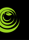# ,17(51\$7,21\$/

# \$%675\$& 7 %22.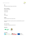

#### **Title**

Waste2Value International Congress, Abstract Book

# **Editors / Coordination**

Dulcineia Ferreira Wessel

Paulo Barracosa

Catarina Coelho

#### **Cover**

Paulo Medeiros

#### **Publisher**

Polytechnic Institute of Viseu / Agrarian School

Representation in whole or in part by any means is not permitted without consent of the editors

ISBN: 978-989-97584

© Copyright: Local Organizing Committee, 2021

# **Organized by**





# **Co-funded by**







Fundo Europeu Agrícola de Desenvolvimento Rural A Europa Investe nas Zonas Rurais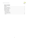

# **TABLE OF CONTENTS**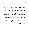# <span id="page-3-0"></span>**PREAMBLE**

The Organizing Committee, coordinated by ADDLAP – Dão, Lafões and Alto Paiva Development Association and IPV – Polytechnic Institute of Viseu, has the great pleasure to welcome all participants in the Virtual Waste2Value International Congress, to be held on 17th of November 2021.

The Congress will allow the sharing of results obtained during the implementation of the Waste2Value project. This is also a time for sharing activities carried out and planned for the future, providing a space for exchange of experiences between researchers, productive sector and public entities with responsibilities in the sectors, among others.

A range of national and international researchers, industry and public authorities will address key elements of the discussion for a better use of biowaste and conversion into resources and strategies to be adopted that contribute to the implementation of more sustainable and circular agro-food value chains in Portugal.

The Waste2Value Operational Group of the National Rural Network is coordinated by ADDLAP and involves 9 partners, namely the Polytechnic Institute of Viseu, the University of Aveiro and 6 other business organizations from the Center of Portugal - Ancose, Ervital, Indumape, Ovargado, Silvex and Vasco Rocha Pinto.

Waste2Value welcomes your participation in the development of future research on key issues such as the circular economy and climate change, in line with the major challenges of the Circular Economy Action Plan, the European Green Deal and the Plan of Recovery and Resilience to achieve carbon neutrality of EU by 2050.

**The Organizing Committee**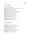

#### <span id="page-4-0"></span>**SCIENTIFIC COMMITTEE**

**Dulcineia Ferreira Wessel (Chairperson) Carine Le-Bourvellec**, INRAE-Research Institute for Agriculture, Food and Environment, France **Carlos Catorze**, Polytechnic Institute of Viseu, Portugal **Catarina Coelho**, Polytechnic Institute of Viseu, Portugal **Cristina Amaro da Costa**, Polytechnic Institute of Viseu, Portugal **Diego Moreno**, Spanish National Research Council, CEBAS-CSIC, Spain **Elisabete Coelho**, University of Aveiro, Portugal **Helena Vala**, Polytechnic Institute of Viseu, Portugal **Jorge Oliveira**, Polytechnic Institute of Viseu, Portugal **José Luís Pereira**, Polytechnic Institute of Viseu, Portugal **Manuel António Coimbra**, University of Aveiro, Portugal **Paula Ferreira**, University of Aveiro, Portugal **Paulo Barracosa**, Polytechnic Institute of Viseu, Portugal **Susana M. Cardoso**, University of Aveiro, Portugal **Tom H. Misselbrook**, Rothamsted Research, United Kindom

# <span id="page-4-1"></span>**ORGANIZING COMMITTEE**

**Maria José Nogueira,** ADDLAP, Portugal (Chairperson) **Adelaide Perdigão**, Polytechnic Institute of Viseu, Portugal **Ana Catarina Ferreira**, Polytechnic Institute of Viseu, Portugal **António Guilherme Almeida,** ADDLAP, Portugal **António Pinto**, Polytechnic Institute of Viseu, Portugal **Catarina Coelho**, Polytechnic Institute of Viseu, Portugal **Dulcineia Ferreira Wessel**, Polytechnic Institute of Viseu, Portugal **Jorge Oliveira**, Polytechnic Institute of Viseu, Portugal **Manuel Brito**, Polytechnic Institute of Viseu, Portugal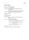

# <span id="page-5-0"></span>**PROGRAM OVERVIEW**

09:00h Open session: **Minister of Agriculture** 09:15h Plennary Lecture: **Project Waste2Value** 10:00h Keynote 01: *Broccoli By-products as Source of Bioactive Ingredients – The Spin-off Experience***.**  Diego A. Moreno. Spanish National Research Council CEBAS-CSIC, Spain 10:20h Keynote 02: *New Technologies for the Valorisation of Vegetable By-Products.* Marta Oliván. Centro Tecnológico Agroalimentario, Spain 10:40h **Oral Communications** 13:15h Lunch 14:15h **Pitch Communications** 15:00h **Poster session** 15:40h Keynote 03: *Novamont Integrated Biorefinery: Developing Low Impact Value Chains* Stefano Facco, Novamont Spa, Italy 16:00h Round Table: *How Circular Economy Benefits Business* | Moderation: Maria Custódia Correia, National Rural Network, Portugal Inocêncio Amorim - Produção Distribuição Hortícola Litoral, Lda Jaime Piçarra - Associação Portuguesa dos Industriais de Alimentos Compostos para Animais Pedro Ribeiro - Federação Portuguesa das Associações Avícolas Fernando Rocha - Ibero Massa Florestal, S.A.

17:30h Global Debate

18:00h Closing Session: **President IPV, President ESAV, President ADDLAP**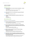

# <span id="page-6-0"></span>**SCIENTIFIC PROGRAM**

# <span id="page-6-1"></span>**KEYNOTES LECTURE**

# <span id="page-6-3"></span>[\[KN01\]](#page-14-0) BROCCOLI BY-PRODUCTS AS SOURCE OF BIOACTIVE INGREDIENTS – THE SPIN-OFF EXPERIENCE

Diego A. Moreno; Raúl Domínguez-Perles; Cristina García-Viguera Spanish National Research Council, CEBAS-CSIC, SPAIN

#### <span id="page-6-4"></span>[\[KN02\]](#page-15-0) NEW TECHNOLOGIES FOR THE VALORISATION OF VEGETABLE BY-PRODUCTS

Marta Oliván Centro Tecnológico Agroalimentario, SPAIN

# <span id="page-6-5"></span>[\[KN03\] NOVAMONT INTEGRATED BIOREFINERY: DEVELOPING LOW IMPACT VALUE](#page-16-0)  **CHAINS**

Rosa Puigmont NOVAMONT SPA, Italy

# <span id="page-6-2"></span>**ORAL COMMUNICATION**

#### BY-PRODUCTS AS FOOD/FEED INGREDIENTS

#### <span id="page-6-6"></span>[\[O01\]](#page-17-0) UPCYCLING CICHORIUM CROP WASTE INTO FUNCTIONAL FOOD INGREDIENTS

Bart Van Droogenbroeck; Anna Twarogowska ILVO - Research Institute for Agriculture, Fisheries and Food, Belgium

# <span id="page-6-7"></span>[\[O02\]](#page-18-0) CIRCULAR ECONOMY IN WINE SECTOR: VALORIZATION OF DIFFERENT GRAPE BUNCH FRACTIONS (SKINS, SEEDS AND STEMS) AND VINE LEAVES FOR INFUSIONS PRODUCTION

A.C. Correia; M. Esperanza-Valdés; A.M. Jordão Polytechinc Institute of Viseu, Agrarian School, Portugal

# <span id="page-6-8"></span>[\[O03\]](#page-19-0) IMPACT OF OPUNTIA FICUS-INDICA FLOUR ON THE PHYSICO-CHEMICAL PROPERTIES OF WHITE BREAD

Ricardo M. Ferreira; Artur S. Silva; Jorge A. Saraiva; Susana M. Cardoso LAQV-REQUIMTE, Departament of Chemistry, University of Aveiro, Portugal

# <span id="page-6-9"></span>[\[O04\]](#page-20-0) ANTIMICROBIAL EFFECTS OF BLACKBERRY AND JUNIPERUS BY-PRODUCTS: IN VITRO STUDY OF THEIR EFFECTS WITH BIO-PROTECTING STRAINS ON PATHOGEN AND AMINOBIOGENIC STRAINS

Giulia Tabanelli; Federica Barbieri; Vida Šimat; Danijela Skroza; Chiara Montanari University of Bologna, Department of Agricultural and Food Sciences, Italy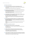

#### SUSTAINABLE BIOMATERIALS

#### <span id="page-7-0"></span>[\[O05\]](#page-21-0) FUNCTIONALIZED WASTE CELLULOSE WITH ANTIMICROBIAL ACTIVITY

Maria Luisa Testa; Paola Alletto; Claudia Vineis; Valeria La Parola; Enzo Laurenti; Maria Laura Tummino

Instituto per lo Studio dei Materiali Nanostrutturati, ISMN-CNR, Italy

#### <span id="page-7-1"></span>[\[O06\]](#page-22-0) FROM SPENT COFFEE GROUNDS TO POLYSACCHARIDE-BASED MICROPARTICLES FOR PULMONARY INSULIN DELIVERY

Sara A. Valente; Guido R. Lopes; Lisete M. Silva; Margarida Almeida; Paula Ferreira; Manuel A. Coimbra; Cláudia P. Passos LAQV-REQUIMTE, Department of Chemistry, University of Aveiro, Portugal

# <span id="page-7-3"></span><span id="page-7-2"></span>[\[O07\]](#page-23-0) DEVELOPMENT OF ANTI-INFLAMMATORY STARCH-BASED FILMS USING POTATO AND TOMATO BYPRODUCT-DERIVED MOLECULES

Paloma Lopes; Joana Tulha; Catarina R. Almeida; Sílvia Petronilho; Idalina Gonçalves CICECO, Department of Materials and Ceramic Engineering, University of Aveiro, Portugal

# <span id="page-7-4"></span>[\[O08\]](#page-24-0) BIOCHAR DERIVED FROM BEAN BY-PRODUCT AS A SUSTAINABLE SUPPORT OF ZINC OXIDE NANOPARTICLES TO PRODUCE ANTIMICROBIAL AND ELECTRICALLY CONDUCTIVE COMPOSITES

Zélia Alves; Nuno M. Ferreira; Gonçalo Figueiredo; Sónia Mendo; Cláudia Nunes; Paula Ferreira

CICECO, Department of Materials and Ceramic Engineering, University of Aveiro, Portugal

#### GENERATING ENVIRONMENTAL BENEFITS

#### <span id="page-7-5"></span>[\[O09\] DEGRADATION OF CAFFEIC ACID BY UV-A-FENTON SYSTEM](#page-25-0)

[Nuno Jorge; Ana R. Teixeira; José R. Fernandes; Ivo Oliveira; Berta Gonçalves; Marco S.](#page-25-0)  [Lucas; José A. Peres](#page-25-0) [University of Vigo, Spain](#page-25-0)

#### <span id="page-7-6"></span>[\[O10\]](#page-26-0) ENERGY STORAGE IN SUPERACTIVATED BIOCHAR FROM RICE WASTES

Chiara Milanese; Ilaria Frosi; Adele Papetti; Alessandro Girella; Vittorio Berbenni; Giacomo Magnani; Daniele Pontiroli; Mauro Riccò University of Pavia, Department of Chemistry, Italy

#### <span id="page-7-7"></span>[\[O11\]](#page-27-0) FOOD BY-PRODUCTS AS ORGANIC COAGULANTS FOR WASTEWATER TREATMENT

Rita Beltrão Martins; Nuno Jorge; Anabela Raymundo; Ana I.R.N.A. Barros; José A. Peres CITAB, University of Trás-os-Montes e Alto Douro, Portugal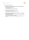

# WASTE MITIGATION SOLUTIONS

# <span id="page-8-0"></span>[\[O12\]](#page-28-0) MODEL2BIO. MODELLING TOOL FOR GIVING VALUE TO AGRI-FOOD RESIDUAL STREAMS IN BIO-BASED INDUSTRIES

Tamara Fernández Arévalo CEIT, Basque Research and Technology Alliance, Spain

#### <span id="page-8-1"></span>[\[O13\]](#page-29-0) FIGHTING WINERY WASTE: GIVING A SECOND LIFE

Irene Gouvinhas; Ana Isabel de Barros CITAB, University of Trás-os-Montes e Alto Douro, Portugal

# <span id="page-8-2"></span>[\[O14\]](#page-30-0) WINTER SAVORY AND LEMONGRASS BYPRODUCTS USED IN THE DEVELOPMENT OF ANTIMICROBIAL BIOPLASTICS

Mariana Vala; João Cruz; Sónia Ferreira; Paulo Brites; Pedro Teixeira; Isabel Henriques; Paula Ferreira, Elisabete Coelho, Idalina Gonçalves CICECO, Department of Materials and Ceramic Engineering, University of Aveiro,

Portugal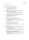

# <span id="page-9-0"></span>**PITCH COMMUNICATIONS**

#### BY-PRODUCTS AS FOOD/FEED INGREDIENTS

#### <span id="page-9-1"></span>[\[PITCH01\]](#page-31-0) UTILIZATION OF RICE MILLING BY-PRODUCTS

Neşe Yilmaz Tuncel, Necati Barış Tuncel Çanakkale Onsekiz Mart University, Turkey

# [\[PITCH02\]](#page-32-0) VALORIZATION OF PINE NUT SKIN THROUGH MICROWAVE-ASSISTED EXTRACTION OF BIOACTIVE COMPOUNDS

Soraia P. Silva; Guido R. Lopes; Manuel A. Coimbra; Elisabete Coelho LAQV - REQUIMTE, Department of Chemistry, University of Aveiro, Portugal

# <span id="page-9-2"></span>[\[PITCH03\]](#page-33-0) ASSESSMENT OF BIOMETHANE POTENTIAL PRODUCTION FROM MEDITERRANEAN FEEDSTOCKS CO-DIGESTION

Valenti F.; Selvaggi R. University of Catania, Department Di3A, Italy

#### <span id="page-9-3"></span>[\[PITCH04\]](#page-34-0) HYDROLATES AS POTENTIAL BIOPRESERVATIVES IN FOOD

Annalisa Serio; Chiara Rossi; Francesca Maggio; Chiara Purgatorio; Clemencia Chaves Lopez; Antonello Paparella

University of Teramo, Faculty of Bioscience and Technology for Food, Agriculture and Environment, Italy

#### <span id="page-9-4"></span>[\[PITCH05\]](#page-35-0) ADD VALUE TO TOMATO AND POTATO BY-PRODUCTS

Marco Consumi; Gabriella Tamasi; Claudio Rossi University of Siena, Department of Biotechnology, Chemistry and Pharmacy, Italy

#### SUSTAINABLE BIOMATERIALS

# [\[PITCH06\]](#page-36-0) REPURPOSING POTATO CHIPS INDUSTRY BYPRODUCTS IN THE ACTIVE BIOPLASTICS PRODUCTION

Ana Marta Peixoto; Sílvia Petronilho; Rosário Domingues; Fernando Nunes; Idalina Gonçalves; Manuel António Coimbra

LAQV - REQUIMTE, Department of Chemistry, University of Aveiro, Portugal

# [\[PITCH07\]](#page-38-0) REUSING POTATO CHIPS INDUSTRY BYPRODUCTS IN THE DEVELOPMENT OF HYDROPHOBIC AND FLEXIBLE STARCH-BASED FILMS

André Oliveira; Silvia Petronilho; Rosário Domingues; Fernando Nunes; Idalina Gonçalves; Manuel A. Coimbra

LAQV - REQUIMTE, Department of Chemistry, University of Aveiro, Portugal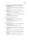

# [\[PITCH08\]](#page-39-0) BIOCASCADING APPROACH IN THE AGRO-RESIDUES VALORIZATION: THE BIOCOMPOSITE PRODUCTION AS A PROLIFIC CONTRIBUTION TO THE CIRCUI AR ECONOMY

Micaela Vannini; Laura Sisti; Paola Marchese; Grazia Totaro; Annamaria Celli University of Bologna, Department of Civil, Chemical, Environmental, and Materials Engineering, Italy

# [\[PITCH09\]](#page-40-0) BREWER'S SPENT YEAST POLYSACCHARIDES FOR FOOD PACKAGING DEVELOPMENT

Sérgio Viduêdo; Sofia F. Reis; Cláudia Nunes; Elisabete Coelho; Manuel A. Coimbra LAQV - REQUIMTE, University of Aveiro, Aveiro, Portugal

# [\[PITCH10\]](#page-41-0) CARDOON A SUSTAINABLE CULTURE WITH POTENTIAL FOR INNOVATIVE BIO-BASED PRODUCTS

Paulo Barracosa; Mariana Barracosa; Euclides Pires Polytechinc Institute of Viseu, Agrarian School, Portugal

#### GENERATING ENVIRONMENTAL BENEFITS

# [\[PITCH11\]](#page-42-0) SHORT ROTATION COPPICES AS RENEWABLE ENERGY SOURCE: A PROFITABILITY ANALYSIS

Giuseppina Rizzo; Testa Riccardo; Schifani Giorgio; Giuseppina Migliore Università degli Studi di Palermo, Palermo, Italy

# WASTE MITIGATION SOLUTIONS

# [\[PITCH12\]](#page-44-0) VEGETATIVE PARTS OF HUMULUS LUPULUS L. AS A SOURCE OF HIGH‐VALUE BIOACTIVE COMPOUNDS

Olívia R. Pereira; Maria João Sousa; Gleiciara Santos; Beatriz Gullón CIMO,Instituto Politécnico de Bragança, Portugal

# [\[PITCH13\]](#page-46-0) WASTE ELIMINATION PROCESSES: FROM LEAN TO KAIZEN IN THIRD SECTOR ORGANIZATIONS

Ana Branca Carvalho; António Pinto; Carolina Cesário; Daniela Santos; Mariana Saraiva

CISeD, Polytechinc Institute of Viseu, Technology School of Lamego, Portugal

# [\[PITCH14\]](#page-47-0) VALORISATION OF CARDOON TO PRODUCE BIOCHAR WITH ADSORBENT **PROPERTIES**

Sónia S. Ferreira; Luís Rodrigues; Paula Ferreira; Elisabete Coelho; Manuel A. Coimbra

LAQV-REQUIMTE, Department of Chemistry, University of Aveiro, Portugal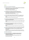

# <span id="page-11-0"></span>**POSTER**

#### BY-PRODUCTS AS FOOD/FEED INGREDIENTS

# [\[P01\]](#page-48-0) CORN COB (ZEA MAYS L.) AS A POTENTIAL SOURCE OF BIOACTIVE COMPOUNDS: COMPARISON OF DIFFERENT EXTRACTION METHODS

Ilaria Frosi; Chiara Milanese; Adele Papetti University of Pavia, Drug Sciences Department, Italy

#### [\[P02\]](#page-49-0) VALORIZATION OF BY-PRODUCTS FROM CRAFT BEERS INDUSTRY: PHYTOCHEMICAL CHARACTERIZATION OF SPENT GRAINS AND HOPS

Cristiana Breda; Irene Gouvinhas; Ana Barros CITAB, University of Trás-os-Montes e Alto Douro, Portugal

#### [\[P03\]](#page-50-0) HOW TO PROFIT FROM AN INDUSTRIAL BY-PRODUCT OF ELDERBERRY JUICE?

Cláudia M. B. Neves, Élia Fogeiro, António Pinto, Fernando Gonçalves, Dulcineia F. Wessel

Polytechnic Institute of Viseu, Agrarian School, Portugal

# [\[P04\]](#page-51-0) DOSE EFFECT OF SAVORY (*SATUREJA MONTANA*) FEED SUPPLEMENTATION IN SMALL INTESTINE MORPHOMETRY

Jorge Oliveira; Helena Vala; Catarina Coelho; Carla Garcia; Adelaide Perdigão; Dulcineia Wessel

CERNAS-IPV Research Centre, Polytechnic Institute of Viseu, Agrarian School, Portugal

# [\[P05\]](#page-53-0) CARDOON FEED SUPPLEMENTATION IN RABBITS: REFLECTIONS ABOUT A PUTATIVE IMMUNITARY EFFECT

Jorge Oliveira; Edite Teixeira-de-Lemos; Paulo Barracosa; Catarina Coelho; Dulcineia Wessel

CERNAS-IPV Research Centre, Polytechnic Institute of Viseu, Agrarian School, Portugal

# [\[P06\]](#page-55-0) SAVORY (SATUREJA MONTANA) BY-PRODUCT SUPPLEMENTATION IN BROILERS: EFFECT IN INTESTINAL ESCHERICHIA COLI AND ENTEROBACTERIACEAE POPULATIONS

Jorge Oliveira; António Pinto; Catarina Coelho; Adelaide Perdigão; Dulcineia Wessel CERNAS-IPV Research Centre, Polytechnic Institute of Viseu, Agrarian School, Portugal

# SUSTAINABLE BIOMATERIALS

# [\[P07\]](#page-57-0) COULD BE ARTHROSPIRA SP. A SUSTAINABLE SOURCE OF BIOACTIVE COMPOUNDS? EVIDENCE OF ANTIOXIDANT, ANTIGENOTOXIC AND CYTOPROTECTIVE PROPERTIES

Vera Castro; Ana Teixeira; Celina Parreira; Rui Oliveira; Alberto C.P. Dias University of Minho, Portugal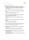

## WASTE MITIGATION SOLUTIONS

# [\[P08\]](#page-59-0) RESOURCE EFFICIENCY OPTIMISATION OF SECOND CLASS VEGETABLES VIA BIOREFINERY SOLUTIONS TO IMPROVE SUSTAINABILITY IN THE AGRIFOOD CHAIN AND CLIMATE CHANGE RESILIENCE : THE EUROPEAN PROJECT "DEMETER"

#### Carine Le Bourvellec

INRAE - National Research Institute for Agriculture, Food and Environment, France

# [\[P09\]](#page-60-0) AGRO-FOOD WASTE AS POTENTIAL NATURAL HERBICIDES IN SPRING-SUMMER **CROPS**

Sara Barbosa; Cristina Galhano; Rosa Guilherme; Paula Lorenzo Polytechnic of Coimbra, Agrarian School, Portugal

# [\[P10\]](#page-61-0) EGGSHELLS AND POTATO WASHING SLURRIES AS RENEWABLE LIGHTWEIGHT FILLERS FOR POLYSTYRENE-BASED MATERIALS

Martins C.; Vallejo M.; Brites P.; Santos J.; Nunes C., Coimbra, M. A., Ferreira, P.; Gonçalves, I.

CICECO, Department of Materials and Ceramic Engineering, University of Aveiro, Portugal

# [\[P11\]](#page-62-0) VEGETATIVE PARTS OF HOP AND BREWERIES BY-PRODUCTS: FROM WASTE TO COSMETIC

Olívia R. Pereira; Maria João Sousa; Gleiciara Santos CIMO, Instituto Politécnico de Bragança, Portugal

#### [\[P12\]](#page-63-0) MATRIX OF BIOWASTE IN THE CENTER REGION. WASTE2VALUE SURVEY RESULTS

Cristina A. Costa; Ana Catarina Ferreira; Maria José Nogueira; Dulcineia Wessel Polytechnic Institute of Viseu, Agrarian School, Portugal

# [\[P13\]](#page-64-0) INTEGRATED VALORIZATION OF PINUS PINEA BY-PRODUCTS IN ADDED-VALUE APPLICATIONS

Élia Fogeiro; Cláudia M B Neves;, Susana M. Cardoso;, Dulcineia Ferreira Wessel LAQV-REQUIMTE, Department of Chemistry, University of Aveiro, Portugal

# [\[P14\]](#page-65-0) FOCUS GROUPS TO ASSESS AGRI-FOOD BIOWASTE VALORIZATION PERCEPTION AMONG STAKEHOLDERS

Joana Neto; Ana Catarina Ferreira; Maria José Nogueira; Dulcineia Wessel; Cristina Parente; Cristina Amaro da Costa

Universidade do Porto, Faculdade de Ciências, Sustainable Agrifood Production Research Center, Vairão, Portugal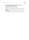

# [\[P15\]](#page-67-0) CATEGORIZATION OF FARM BY-PRODUCTS THROUGH PRELIMINARY RECOGNITION OF THEIR BIOACTIVE POTENTIAL

Manuel Brito; Ana Catarina Ferreira; Dulcineia F. Wessel Polytechnique Institute of Viseu, Agrarian School, Portugal

# [\[P16\]](#page-69-0) DRYING OF BY-PRODUCTS FROM AGRICULTURAL PRODUCTION AND AGRI-FOOD INDUSTRY

Carlos Pereira; Alberto Castro; Pedro Cardão; Tânia Ferreira; Ana Tavares; Sérgio Lopes; Dulcineia Wessel

CISeD, Polytechnique Institute of Viseu, Technology and Management School, Portugal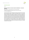

# **KEYNOTES LECTURE**

<span id="page-14-0"></span>KN01 **[<](#page-6-3)**

#### **BROCCOLI BY-PRODUCTS AS SOURCE OF BIOACTIVE INGREDIENTS – THE SPIN-OFF EXPERIENCE**

Diego A. Moreno<sup>1(\*)</sup>; Raúl Domínguez-Perles<sup>1</sup>; Cristina García-Viguera<sup>1</sup>

1 CEBAS-CSIC. Phytochemistry and Healthy Foods Lab. Food Sci. & Tech. Dept. (\*) Email: dmoreno@cebas.csic.es

The agro-food production entails the disposal of vast amounts of solid residues, which is another serious environmental problem in developed and developing countries. The most widely implemented destination of agro-food wastes is disposal. Annually, billions of tons of agriculture residues are discarded and the possibilities to exploit them in practical ways intended to be incorporated in industrial scale-up processes of the added-value chain represents opportunities for innovation. For instance, broccoli by products (harvest remains) are responsible of important environmental problems, since more than 75% of the aerial biomass is discarded after harvest, mainly used as animal feedstuff or as a source of glucosinolate standards. However, the boosted broccoli crop productions for the growing international exports to Europe and Middle Asia, in the last few years makes unbearable to manage such amount of by-products generated every year. The development of a spin-off company to offer a pipeline of products for commercialization – Aquaporins & Ingredients SL, facilitated the effective transfer of technology from public R&D results to industry products, with a broad spectrum of applications in this global era of plants for food and health.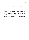

#### <span id="page-15-0"></span>KN02 [<](#page-6-4)

#### **NEW TECHNOLOGIES FOR THE VALORISATION OF VEGETABLE BY-PRODUCTS**

Marta Oliván<sup>1</sup> (\*)

<sup>1</sup> Ctic Cita, Centro Tecnológico Agroalimentario, Spain

(\*) Email: molivan@cticcita.es

Currently, the European food industry generates around 100 Mt of waste, leading to a serious environmental problem, which is driving the food industry towards a circular economy, looking for new ways of exploitation, such as the use of advanced technologies to improve the extraction of bioactive compounds. One of these is the microwave-assisted extraction (MAE), which causes rapid heating that breaks up the cells, favouring the diffusion of the compounds. Ctic Cita has used the microwave-assisted extraction to improve the extraction of by-products from vegetable waste, which are rich in health-related compounds and might present technological functions. To obtain the by-products, microwaves has been used at different powers 1000W (25%), 2000W (50%), 3000W (75%), and 4000W (100%) for different times. The physicochemical quantification is carried out by spectrophotometric analysis, checking whether the quantity of these compounds increases as the sample stabilises. The best results are obtained by increasing the power and shortening the times. Thanks to this work, it has been proven that compounds are found in the by-products stabilised by microwave.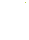

<span id="page-16-0"></span>KN03 **[<](#page-6-5)**

# **NOVAMONT INTEGRATED BIOREFINERY: DEVELOPING LOW IMPACT VALUE CHAINS**

Stefano Facco, Novamont Spa, Italy

(\*) Email: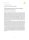

# **ORAL COMMUNICATION**

# **BY-PRODUCTS AS FOOD/FEED INGREDIENTS**

#### <span id="page-17-0"></span>O01 **[<](#page-6-6)**

#### **UPCYCLING CICHORIUM CROP WASTE INTO FUNCTIONAL FOOD INGREDIENTS**

Bart Van Droogenbroeck<sup>1(\*)</sup>; Anna Twarogowska<sup>2</sup>

<sup>1</sup> Institute for Agricultural, Fisheries and Food Research;

 $2$  ILVO

\* Email: bart.vandroogenbroeck@ilvo.vlaanderen.be

In Europe, crops from the Cichorium genus (Asteraceae) are economically important, especially in Belgium, the Netherlands, France, and Italy. The most valuable and well-known leafy vegetables on the European market are Belgian endive (*Cichorium intybus* var. *foliosum*), Radicchio rosso (*Cichorium intybus var*. *foliosum*) and endive (*Cichorium endivia*). At the same time, industrial chicory (Cichorium intybus var. sativum) is grown for the extraction of inulin. Unavoidably, food waste and by-products are generated during the production of the edible Belgian endive crop. White Belgian endive heads are forced during a 21 day period in the dark at 16–20 °C. Each year in the EU, approximately 300,000–400,000 tons of forced roots are produced but they currently have no high-value use, often with a fate as compost or animal feed. However, these forced roots are a very interesting feedstock for a biorefinery concept: they are available year-round and have an attractive chemical composition, being rich in sugars, dietary fibres (DF) and bioactive compounds such as phenolic compounds (PC) and sesquiterpenes lactones (SLs).

A simple, cost-efficient biorefinery process was set up to prepare dietary fibre powders from forced roots of the Belgian endive and to assess their potential as a fibre-rich functional food ingredient. Dietary fibre concentrates (DFC) that are low in sugar and neutral in taste are sought by the food industry to increase DF content and improve texture in food products. The chemical composition, bioactive compounds and dietary fibre profile of the obtained powders were characterised, and their functional properties were evaluated. Additionally, sugars and shortchain carbohydrates, phenolic acids and sesquiterpene lactones in the aqueous extracts were characterised to estimate its potential for further valorisation in food and drink applications.

As a control, non-treated forced roots powder (FRP) was tested. Water extraction significantly  $(p < 0.05)$  decreased the content of sugars, phenolic acids and sesquiterpene lactones (SL) in DFC. In contrast, total dietary fibre concentration (TDF) was higher in DFC (81.82 g/100 g DW) in comparison to FRP (49.04 g/100 g DW). DFC offers an excellent water holding capacity (WHC) of 14.71 g water/g DW and a swelling capacity (SWC) of 23.46 mL water/g DW, confirming its potential as a functional food ingredient. Application in a broad range of food products such as bakery and plant-based or hybrid meat burgers are currently investigated in collaboration with food industry.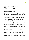

#### <span id="page-18-0"></span>O02 **[<](#page-6-7)**

# **CIRCULAR ECONOMY IN WINE SECTOR: VALORIZATION OF DIFFERENT GRAPE BUNCH FRACTIONS (SKINS, SEEDS AND STEMS) AND VINE LEAVES FOR INFUSIONS PRODUCTION**

A.C. Correia<sup>1</sup>; M. Esperanza-Valdés<sup>2</sup>; A.M. Jordão $^{1,3*}$ 

<sup>1</sup> Polytechnic Institute of Viseu;

<sup>2</sup>Technological Institute of Food and Agriculture, CICYTEX - INTAEX Junta of Extremadura, Badajoz, Spain

<sup>3</sup> Chemistry Research Centre of Vila Real, Portugal

\* Email: antoniojordao@esav.ipv.pt

The valorization of agro-industrial waste represents one of the most important challenges of biotechnology research, contributing to the sustainability of the sector. Large amounts of grape bunch fractions (skins, seeds and stems) residues are produced annually during wine production. In addition, from the vineyards, vine leaves after grape harvest are often left on the vine itself or used namely as organic material for fertilization and not valorized.

In recent years, the consumption of teas and herbal infusions has increased in the world and created a new market opportunity for new entries to the herbal tea market. Herbal infusions can be prepared from a great diversity of edible, aromatic, and plant fractions. Thus, the potential use of grape bunch fractions or vine leaves for infusions production may be an interesting option for the habitual infusion consumers, opening up the range of options for this type of product and, at the same time, increasing the economical valorization of residues from winemaking process and from the vine plant itself. Moreover, these infusions may be a potential alternative source of bioactive compounds for the human diet, besides being caffeine-free infusions, which may be a further advantage because some consumers have some sensitivity to this compound found in teas. In recent years, we have been studying the possible valorization of winemaking residues and vine leaves through their use in infusions production. Thus, the present study describes the recent knowledge of the chemical composition of grape skin, seeds, stems and vine leaf infusions concerning different perspectives, such as their phenolic and amino acid profile, mineral composition and sensory description and evaluation. For this, row material from several red and white grape varieties from Portugal and Spain were used. Furthermore, some of the results obtained were compared with the "traditional" herbal infusions, namely chamomile and black tea.

Our results revealed that the infusions prepared with grape stems showed the highest total phenolic content (average value of 54.7 mg/L gallic acid eq.), followed by the infusions produced from skins (average value of 36.5 mg/L gallic acid eq.), vine leaves (average value of 26.07 mg/L gallic acid eq.) and seeds (average value of 25.1 mg/L gallic acid eq.). Ala, Gaba, Leu, and Phser were the most important amino acids in infusions of leaves. With respect to mineral composition, K, Ca and Na, were the three major mineral components quantified in the different vine leave infusions produced. Finally, for sensory evaluation the better scores were attributed to the infusions produced from vine leaves followed by the stems, skins and seeds infusions.

All of these results will be important to improving the knowledge about the quality of infusions produced from different fractions of grapes and vine leaves, and contribute to improve the economical valorization of products derived from vines and grapes.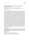

#### <span id="page-19-0"></span>O03 **[<](#page-6-8)**

# **IMPACT OF OPUNTIA FICUS-INDICA PEEL FLOUR ON THE PHYSICO-CHEMICAL PROPERTIES OF WHITE BREAD**

Ricardo M. Ferreira<sup>1,\*</sup>; Artur S. Silva<sup>1</sup>; Jorge A. Saraiva<sup>1</sup>; Susana M. Cardoso<sup>1</sup>

<sup>1</sup> LAQV - REQUIMTE, Departamento de Química, Universidade de Aveiro, 3810-193 Aveiro, Portugal

\* Email: ric.ferreira@ua.pt

Bread is consumed worldwide with an average consumption of 26.6 kg per person per year and annual sales revenue of USD 437.2 billion1. However, the consumption of white bread is associated with a high glycemic index (GI) and is also a major source of salt in the diet. So, due to the increasing public health concerns, efforts are being made to develop nutritionally fortified breads with both lower glycemic index capacity and health-promoting properties. Recently, the substitution of wheat flour for other, fruit and vegetable, flours has been tested to improve wheat bread quality2,3. In this work, the dried peel of *Opuntia ficus-indica*, ie a subproduct of prickly pear juice production, was used as an ingredient to produce fortified bread. The addition of 25% of prickly pear (red, orange, and white cultivars) peel flours in wheat breads was investigated and compared to the addition of 25% oat flour and to the use of wheat flour. After baking, the breads were milled and the contents of fiber, ash, protein, and total carbohydrates content were determined following the AOAC 2020 and the Dubois procedures, respectively. The antioxidant capacity of the bread extracts was accessed by the ABTS+●, NO●, SO●, DPPH● scavenging assays as well as the reducing power, whereas the total phenolic compounds (TPC) and total flavonoid concentration (TFC) were measured by the Folin–Ciocalteu and the Aluminium chloride methods, respectively. Additionally, the individual phenolic compounds and betalains in the prickly pear fortified breads were identified by UHPLC-DAD-ESI-MSn analysis. The addition of prickly pear flour resulted in a twofold increment of the ash and fiber content and a fourfold increase in the total carbohydrates while the percentage of protein decreased slightly. As for the antioxidant capacity, the addition of prickly pear peel flour allowed, for all the three cultivars tested and contrary to the control group, to have measurable and relatively high results for all the methods applied. Furthermore, it promoted an increase in phenolic levels of breads, particularly for piscidic acid, eucomic acid and isorhamnetin 3-O-rutinoside-rhamnoside. Globally, it was observed better overall results for both orange and white cultivars when compared to the red cultivar, since they have a higher fiber and protein content, as well as greater antioxidant capacity and TPC

#### **Acknowledgements**

Thanks to the University of Aveiro, FCT/MEC for financial supporting LAQV-REQUIMTE (UIDB/50006/2020), through national funds and co-financed by the FEDER, within the PT2020 Partnership Agreement. Susana Cardoso acknowledges the research contract under the project Algaphlor (PTDC/BAA-AGR/31015/2017). Ricardo Ferreira acknowledges FCT for the PhD grant SFRH/BD/137057/2018.

#### **References**

[1] Statista (2021).Bread - Europe | Statista Market Forecast.

- [2] AA, F., KA, T., SO, G., DJ, O. J. (2016). Food Process. Technol 7.
- [3] López-Romero, P. et al. (2014). J. Acad. Nutr. Diet. 114: 1811–1818.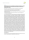

#### <span id="page-20-0"></span>O04 **[<](#page-6-9)**

# **ANTIMICROBIAL EFFECTS OF BLACKBERRY AND JUNIPERUS BY-PRODUCTS: IN VITRO STUDY OF THEIR EFFECTS WITH BIO-PROTECTING STRAINS ON PATHOGEN AND AMINOBIOGENIC STRAINS**

Giulia Tabanelli<sup>1,\*</sup>; Federica Barbieri<sup>1</sup>; Vida Šimat<sup>2</sup>; Danijela Skroza<sup>3</sup>; Chiara Montanari<sup>4</sup>

<sup>1</sup> Department of Agricultural and Food Sciences, University of Bologna, Italy;

<sup>2</sup> University Department of Marine Studies, University of Split, Croatia;

<sup>3</sup> Department of Food Technology and Biotechnology, Faculty of Chemistry and Technology, University of Split, Croatia;

4 Interdepartmental Center for Industrial Agri-Food Research, University of Bologna, Italy

\* Email: giulia.tabanelli2@unibo.it

In this study the possible interactive effects between Lactic Acid Bacteria (LAB) bio-protective strains and bioactive extracts or essential oils obtained from blackberry and juniperus byproducts were evaluated in culture media. In particular, the effects of supernatants of antimicrobial strains belonging to *Latilactobacillus sakei* or *Latilactobacillus curvatus* species on the growth of Listeria monocytogenes and amino-biogenic Enterococcus faecium alone or in combination with bioactive extracts/essential oils (added at sub-lethal concentrations) have been investigated. The samples were collected overtime to assess growth performances, culturability, viability, and in the case of aminobiogenic strains, biogenic amine accumulation. The cell deactivation or growth kinetics have been modelled via Gompertz equation to predict parameters as maximum growth rate or lag phase duration or maximum cell growth in different conditions. Moreover, samples were analysed by flow cytometry (FCM) to monitor the physiological state of target microorganism cells subjected to stresses and investigate the mechanisms of antimicrobial action of bio-protective strains and bioactive extracts/essential oils against the target microorganisms at cellular level. The data showed that the essential oils were able to delay the growth of *Listeria monocytogenes*, allowing to reach maximum cell loads lower than 99-99.9% compared to the control (i.e., growth in the absence of antimicrobic compounds). The use of extract permitted to have a reduction of pathogen growth, except for blackberry extract, which had scarce effect on cells. Bioprotective culture supernatants had a strain dependent effect on target cell growth kinetics. To better investigate this issue, samples were collected for FCM analysis. The dual staining procedure confirmed the presence of injured and dead cells in the samples added with the extract or essential oils. A similar trend was highlighted for Ent. faecium strain and the delay in cell growth was reflected in biogenic amine production. In fact, the juniperus extracts determined a reduced accumulation of these compounds during incubation while the addition of blackberry essential oils allowed a scarce production of tyramine. These results showed promising potential of the application of blackberry and juniperus by-products essential oils or extracts, also in combination with bio-protecting culture supernatants. Further investigations will be necessary to better study their possible interactions and to optimize their use in food matrices.

#### **Acknowledgements**

This research is part of the project BioProMedFood supported by the PRIMA program (Project ID 1467). The PRIMA programme is supported by the European Union.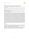

#### <span id="page-21-0"></span>O05 **[<](#page-7-0)**

#### **FUNCTIONALIZED WASTE CELLULOSE WITH ANTIMICROBIAL ACTIVITY**

Maria Luisa Testa<sup>1,\*</sup>; Paola Alletto<sup>1</sup>; Claudia Vineis<sup>2</sup>; Valeria La Parola<sup>1</sup>; Enzo Laurenti<sup>3</sup>; Maria Laura Tummino<sup>2</sup>

<sup>1</sup> Istituto per lo Studio dei Materiali Nanostrutturati, ISMN-CNR, Via Ugo La Malfa 153, Palermo, Italy;

2 Istituto di Sistemi e Tecnologie Industriali per il Manifatturiero Avanzato, STIIMA-CNR, Corso Giuseppe Pella 16, Biella, Italy;

<sup>3</sup> Dipartimento di Chimica, Università degli Studi di Torino, Via Pietro Giuria 15, Torino, Italy

\* Email: marialuisa.testa@cnr.it

Soybean hulls are one of the main by-products of soybean crushing and they are usually destined to become a putrescible waste. In a previous study, exhausted soybean hulls after the extraction of soybean peroxidase (an enzyme used for different applications) were employed as adsorbents of aqueous metal contaminants for water remediation [1]. In this work, such waste of soybean hulls were subjected to an acid-base treatment to isolate cellulose. The obtained material was functionalized with amino propyl groups [2] for the achievement of new sustainable materials with antimicrobial properties. For comparison purpose, analogous materials were synthesized starting from commercial cellulose. The amino-functionalization process resulted effective, since the antimicrobial activity of all the modified celluloses -tested by preliminary trials following the ASTM E 2149-2013 procedure- was outstanding against both Gram positive and Gram-negative bacteria. Particular attention was paid to the efficiency and sustainability of all the chemical processes with the use of waste materials, green solvents and sustainable procedures. The physical-chemical features of the samples were analyzed by several techniques such as electron scanning microscopy, infrared spectroscopy, thermogravimetry, differential scanning calorimetry. Preliminary results showed as the different synthetic procedures and the different starting cellulose samples influenced both the thermal stability and the microstructural order.

#### **References**

[1] Tummino M.L., Tolardo V., Malandrino M., Sadraei R., Magnacca G., Laurenti E. (2020). A Way to Close the Loop: Physicochemical and Adsorbing Properties of Soybean Hulls Recovered After Soybean Peroxidase Extraction, Frontiers in Chemistry 8, 763

[2] Testa M. L., Tummino M.L., Agostini S., Avetta P., Deganello F., Montoneri E., Magnacca G., Bianco Prevot A. (2015). Synthesis, characterization and environmental application of silica grafted photoactive substances isolated from urban biowaste, RSC Adv 5: 47920-47927.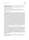

#### <span id="page-22-0"></span>O06 **[<](#page-7-1)**

# **FROM SPENT COFFEE GROUNDS TO POLYSACCHARIDE-BASED MICROPARTICLES FOR PULMONARY INSULIN DELIVERY**

Sara A. Valente <sup>1,\*</sup>; Guido R. Lopes<sup>1,2</sup>; Lisete M. Silva<sup>1</sup>; Margarida Almeida<sup>2</sup>; Paula Ferreira<sup>2</sup>; Manuel A. Coimbra<sup>1</sup>; Cláudia P. Passos<sup>1</sup>

<sup>1</sup> LAQV-REQUIMTE, Department of Chemistry, University of Aveiro, Aveiro, Portugal.

<sup>2</sup> CICECO-Aveiro Institute of Materials, Department of Chemistry, University of Aveiro, Aveiro, Portugal.

\* Email: sara.valente@ua.pt

Spent coffee grounds (SCG) are by products from espresso coffee preparation. SCG are still rich in polysaccharides, such as galactomannans (GM) and arabinogalactans (AG). As biocompatible and biodegradable molecules, GM and AG are promising vehicles for insulin delivery. Insulin is a protein highly susceptible to degradation, requiring carriers to maintain stability during powder preparation. Insulin may be administered via the pulmonary route, a non-invasive alternative to injections [1]. In this study, GM- and AG-based microparticles capable of carrying, protecting, and delivering insulin were developed. GM and AG were extracted from SCG by the eco-friendly technology Microwave Assisted Extraction (MAE), at 150 ºC and 180 ºC, respectively [2]. The extracts were ultrafiltered (5 kDa) to isolate the high molecular weight material. The samples were assessed for their sugar composition and spray dried with insulin (10% w/w). The resulting microparticles were assessed for their size and morphology using scanning electron microscopy. Insulin release kinetics were evaluated by HPLC. Sugar analysis confirmed the occurrence of GMrich and AG-rich fractions. Both GM- and AG-based microparticles presented sizes between 1-5 µm, a prerequisite for achieving alveolar deposition, and raisin-like morphologies. GM-based microparticles released insulin in a continuous and gradual manner, while insulin release from AG-based microparticles presented a sigmoid release profile, suggesting that the insulin release is dependent on the polysaccharide carrier. Both types of microparticles released around 86% of their insulin content during the 60 min tested. Our results demonstrate that GM and AG can be used to form microparticles able to carry insulin, which showed to have promising features for its efficient delivery via the pulmonary route. These results thus demonstrate the applicability of coffee waste in the development of pharmaceutical formulations. **Acknowledgments**

This work was supported by the project "PulManCar"-POCI-01-0145-FEDER-029560- funded by FEDER, through COMPETE2020-POCI, and by national funds (OE), through FCT/MCTES. Thanks are due to University of Aveiro and FCT/MCT for the financial support to LAQV-REQUIMTE research units (FCT UIDB/50006/2020) and CICECO - Aveiro Institute of Materials, UIDB/50011/2020 & UIDP/50011/2020 through national funds and, where applicable, cofinanced by the FEDER, within the PT2020 Partnership Agreement. Cláudia Passos and Paula Ferreira contracts (CEECIND/01873/2017 and IF/300/2015) were supported by FCT. Lisete M. Silva contract and Sara Valente MSc. grant were supported by project "PulManCar". Guido R. Lopes thanks AgroForWealth project (CENTRO-01-0145- FEDER-000001) for the post-doctoral grant (BPD/UI89/6614/2020).

#### **References**

[1] Shah R.B., Patel M., Maahs D.M., Shah V.N. (2016). Int. J. Pharm. Investig. 6 (1): 1-9.

[2] Passos C.P., Rudnitskaya A., Neves J., Lopes G.R., Evtuguin D.V., Coimbra M.A. (2019). Carbohydr. Polym. 214: 53-61.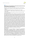

# <span id="page-23-0"></span>[O07](#page-7-2) **[<](#page-7-3)**

# **DEVELOPMENT OF ANTI-INFLAMMATORY STARCH-BASED FILMS USING POTATO AND TOMATO BYPRODUCT-DERIVED MOLECULES**

Paloma Lopes<sup>1,2,\*</sup>; Joana Tulha<sup>3</sup>; Catarina R. Almeida<sup>3</sup>; Sílvia Petronilho<sup>2,4</sup>; Idalina Gonçalves<sup>1</sup>

- <sup>1</sup> CICECO, Department of Materials and Ceramic Engineering, University of Aveiro, Aveiro, Portugal;
- <sup>2</sup> LAQV-REQUIMTE, Department of Chemistry, University of Aveiro, Aveiro, Portugal;
- <sup>3</sup> Institute of Biomedicine iBiMED, Department of Medical Sciences, University of Aveiro, Aveiro, Portugal;

<sup>4</sup> Chemistry Research Centre-Vila Real, Department of Chemistry, UTAD, Vila Real, Portugal

\* Email: palomalopes@ua.pt

Agrifood byproducts are often discarded or delegated to low-value applications despite being rich in valuable molecules that can be used for new products development, such as sustainable and functional wound dressings. Currently, wound dressings are mainly made of nonbiodegradable plastics that are environmentally unsustainable. As alternative, the use of natural polymers with primary food application has been considered, raising ethical and societal issues.

Agrifood by products-derived molecules can help overcome this dilemma. In this work, potato and tomato by products were used to develop biobased materials with anti-inflammatory properties with interest for wound healing application, following a circular concept. The influence of different concentrations (1%, 5%, and 10% w/w in relation to starch dry weight) of tomato pomace-derived aqueous extract (TE) on physicochemical, mechanical, and antiinflammatory properties of starch-based films was studied. TE showed a protein, sugar, and phenolic content of 14.7%, 15.2%, and 2.8%, respectively, and 19% of radical scavenging activity per mg of extract. TE conferred a yellowish coloration to starch-based films, maintaining their transparency. Films' rigidity and traction resistance decreased up to 58% and 50%, respectively, while their stretchability increased up to 36%, at 10%TE, thus becoming more flexible. TE also originated starch-based films with hydrophobic and hydrophilic surfaces, with water contact angles ranging from 68˚ up to 111˚, and lower water solubility (-33% with 5%TE) than the pristine materials. Finally, 10% TE/starch-based films had a maximum anti-inflammatory activity of 48%, decreasing the secretion of tumor necrosis factor  $\alpha$  (TNF- $\alpha$ ) by THP-1 cells stimulated for 24h with bacterial lipopolysaccharide (LPS). As such, potato- and tomato pomace-derived molecules allowed to develop anti-inflammatory biobased films, offering an opportunity for their valorisation through the development of active biobased wound dressings.

#### **Acknowledgements**

Thanks are due to the UA and FCT/MCTES for financial support of LAQV-REQUIMTE (UIDB/50006/2020), CICECO-Aveiro Institute of Materials (UIDB/50011/2020 & UIDP/50011/2020), and CESAM (UIDB/50017/2020 + UIDP/50017/2020) research units and CQ-VR at UTAD Vila Real (UIDP/00616/2020) through PT national funds and, where applicable, cofinanced by FEDER, within the PT2020 Partnership Agreement, Compete 2020. The authors also thank to POTATOPLASTIC project (POCI-01-0247-FEDER-017938), financed by FEDER through POCI, to "Isolago – Indústria de Plásticos, S. A.", the project leader, to "A Saloinha, Lda.", and to "HIT Tomato, Italagro, S.A" for providing potato and tomato byproducts, respectively. FCT is also thanked for the post-doc grant SFRH/BPD/ 117213/2016 (SP) and for the Individual Call to Scientific Employment Stimulus (IG, CEECIND/00430/2017). This work was also supported by NORTE 2020, under the PT 2020 Partnership Agreement, through ERDF and FSE.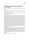

#### <span id="page-24-0"></span>O08 **[<](#page-7-4)**

# **BIOCHAR DERIVED FROM BEAN BY-PRODUCT AS A SUSTAINABLE SUPPORT OF ZINC OXIDE NANOPARTICLES TO PRODUCE ANTIMICROBIAL AND ELECTRICALLY CONDUCTIVE COMPOSITES**

Zélia Alves<sup>1,2,\*</sup>; Nuno M. Ferreira<sup>3</sup>; Gonçalo Figueiredo<sup>4</sup>; Sónia Mendo<sup>4</sup>; Cláudia Nunes<sup>2</sup>; Paula Ferreira<sup>2</sup>

 $1$ CICECO – Aveiro Institute of Materials, Department of Chemistry, University of Aveiro, Aveiro, Portugal;

 $2$  CICECO – Aveiro Institute of Materials, Department of Materials and Ceramic Engineering, University of Aveiro, Aveiro, Portugal;

<sup>3</sup> i3N, Department of Physics, University of Aveiro, Aveiro, Portugal; <sup>4</sup> CESAM, Department of Biology, University of Aveiro, Aveiro, Portugal

\* Email: zeliaralves@ua.pt

Biomass waste is a carbon-rich and renewable source with high potential for producing graphene-like materials, such as biochars. These materials can become green substitutes of carbon structures derived from graphite that normally require time-consuming and expensive methodologies [1]. In this work, biochars produced by the pyrolysis of kidney bean pods were functionalized with zinc oxide particles to produce active and electrically conductive composites for food packaging materials. At an early stage, several experiments were carried out to investigate the effect of the pyrolysis temperature, residence time, and time of air oxidation on biochar properties. The specific surface area (SBET) of biochars improved, mainly, with the increase of the pyrolysis temperature and with a short time of air oxidation, while the graphitization degree and electrical conductivity (EC) significantly reduced with increasing the time of air oxidation. Secondly, the biochar with the highest SBET and the biochar with the highest EC were used as support to produce zinc oxide nanoparticles by a green solvothermal methodology. The produced biochar-ZnO composites demonstrated greater SBET and EC properties than the ZnO composites supported onto the graphene sheets (ZnO-rGO). Furthermore, both biochar-ZnO composites showed antibacterial activity similar to that of ZnOrGO, but greater than that of pristine ZnO particles. Therefore, it can be inferred that biochar derived from bean by-products is a sustainable alternative of graphene sheets to produce active and electrically conductive ZnO composites.

#### **Acknowledgements**

This work was developed within the scope of the project CICECO - Aveiro Institute of Materials (UIDB/50011/2020 & UIDP/50011/2020), CESAM (UIDP/50017/2020 + UIDB/50017/2020) and i3N (UIDB/50025/2020 & UIDP/50025/2020). ZA and PF thank FCT for the grants PD/BD/117457/2016 and IF/00300/2015, respectively. This work was also supported by BIOFOODPACK project (M-ERA.NET2/0019/2016) and by national funds (OE), through FCT– Fundação para a Ciência e a Tecnologia, I.P., in the scope of the framework contract foreseen in the numbers 4, 5 and 6 of the article 23, of the Decree-Law 57/2016, of August 29, changed by Law 57/2017, of July 19.

#### **References**

[1] Ravi S., et al. (2016). J. Environ. Chem. Eng. 4: 835–856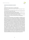

#### **GENERATING ENVIRONMENTAL BENEFITS**

<span id="page-25-0"></span>O09 **[<](#page-7-5)**

#### **DEGRADATION OF CAFFEIC ACID BY UV-A-FENTON SYSTEM**

Nuno Jorge<sup>1,2,\*</sup>; Ana R. Teixeira<sup>2</sup>; José R. Fernandes<sup>2</sup>; Ivo Oliveira<sup>3,4</sup>; Berta Gonçalves<sup>3,4</sup>; Marco S. Lucas<sup>2</sup>; José A. Peres<sup>2</sup>

<sup>1</sup>Escuela Internacional de Doctorado (EIDO), Campus da Auga, Campus Universitário de Ourense, Universidade de Vigo, As Lagoas, Ourense, España;

2Centro de Química de Vila Real (CQVR), Departamento de Química, Universidade de Trás-os-Montes e Alto Douro (UTAD), Quinta de Prados, Vila Real, Portugal;

<sup>3</sup>Centre for the Research and Technology of Agro-Environmental and Biological Sciences (CITAB), University of Trás-os-Montes and Alto Douro (UTAD), Vila Real, Portugal;

4 Inov4Agro (Institute for Innovation, Capacity Building, and Sustainability of Agri-Food Production), University of Trás-os-Montes and Alto Douro (UTAD), Vila Real, Portugal

\* Email: njorge@uvigo.es

Among the agro-industrial wastewaters, the winery wastewater is considered toxic to the environment due to the presence of high content of polyphenols [1]. The caffeic acid (CA) is considered to be one of the most refractory phenolic compounds to biologic degradation, because it exhibits high toxicity and antibacterial activity and represents a risk to human health when exposed to concentrations of 1.3 g/L. To the best of our knowledge no study has ever been performed on the degradation of CA by UV-A-Fenton process, therefore, the aim of this work is (1) optimize the UV-A-Fenton process, (2) evaluate the energy consumption and operational cost of CA degradation and (3) study the phytotoxicity effect of the treated wastewater. The concentration of CA was determined by Ultra-High-Performance Liquid Chromatography (UHPLC) using a C18 reverse phase column (250  $\times$  4.6 mm, 5  $\mu$ m) with a flowrate of 1 mL min-1 at 25.0 ºC. Experiments were performed in a self-designed lab-scale reactor with 500 mL of capacity employing a UV-A LEDs system was composed by 12 Indium Gallium Nitride (LnGaN) LEDs lamps with a λmax = 365 nm. The results showed that under the best experimental conditions, as follows:  $[CA] = 5.5x10-4$  mol/L,  $[H2O2] = 22x10-4$  mol/L,  $[Fe2+] = 1.1x10-4$  mol/L,  $pH = 3.0$ , agitation 350 rpm, temperature = 298 K, radiation UV-A, IUV = 32.7 W/m2, t = 15 min it was achieved a CA removal of 99.9%, with a pseudo first-order kinetic rate of 0.695 min-1. The values of the electric energy per order (EEO) = 7.227 kWh m-3 order-1 and specific applied energy (ESAE) = 13.140 kWh mol-1 order-1 were obtained under the best experimental conditions, with low operational cost (0.599 €/m3). Performance of phytotoxicity tests showed that caffeic acid and UV-A-Fenton process can exercise phytotoxicity effect in onion seeds with low germination index (50.4 and 25.8%), however, tests performed in tomato and radish seeds showed high germination index values after UV-A-Fenton process (149.1 and 94.9%, respectively). **In conclusion,** this work provides an important insight into the application of UV-A-Fenton process in the removal of CA contaminant, especially for wastewater reuse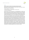

#### <span id="page-26-0"></span>O10 **[<](#page-7-6)**

#### **ENERGY STORAGE IN SUPERACTIVATED BIOCHAR FROM RICE WASTES**

Chiara Milanese<sup>1,\*</sup>; Ilaria Frosi<sup>2</sup>; Adele Papetti<sup>2</sup>; Alessandro Girella<sup>1</sup>; Vittorio Berbenni<sup>1</sup>; Giacomo Magnani<sup>3</sup>; Daniele Pontiroli<sup>3</sup>; Mauro Riccò<sup>3</sup>

- <sup>1</sup> Chemistry Department University of Pavia;
- $2$  Drug Science Department University of Pavia;  $3$  University of Pavia
- \* Email: chiara.milanese@unipv.it

Recently biochar, the carbon side-product in the pyrolysis/gasification of residual waste biomasses, started to receive a widespread attention in the field of the electrical energy-storage, thanks to its hierarchical porous structure inherited from biomass precursors, its excellent chemical and electrochemical stability, high conductivity, high surface area and inexpensiveness. In particular, biochar converted to activated carbon (SSA  $>$  1000m2/g) through a chemical activation with KOH appears now to be a new cost-effective and environmentally-friendly carbon material with great application prospect in the field of energy-storage applications.

We report here on the preparation of novel hierarchically-porous super-activated carbon materials originating from biochar derived by the pyrolysis of poultry litter (PL) and of rice waste (bran RB and husk RH). The chemical activation process proved to be efficient to remove the majority of impurities other than carbon, stabilizing highly porous hierarchical structures with local graphene-like morphology. The porous compounds obtained by PL and mixtures of RH + RB demonstrated to behave as excellent electrode materials for high-performance symmetric supercapacitors (SCs), reaching high specific capacitance up to 230 F/g. On the contrary, the material obtained by RB, having specific surface area up to 5000 m2/g, shows a very good hydrogen storage ability, adsorbing up to 4.5 wt % of hydrogen in around 20 seconds at -196°C and around 1.5 wt% at room temperature. Work is in progress to optimize the pyrolysis and activation conditions and to improve the performance of the materials by decoration with transition metals. The availability, the biocompatibility and the inexpensiveness of the starting materials suggest possible large-scale applications for such devices, for example in the field of transportation or in renewable energy-grids, but also in the field of bio-medicine.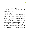

#### <span id="page-27-0"></span>O11**[<](#page-7-7)**

#### **FOOD BY-PRODUCTS AS ORGANIC COAGULANTS FOR WASTEWATER TREATMENT**

Rita Beltrão Martins<sup>1,\*</sup>; Nuno Jorge<sup>2,3</sup>; Anabela Raymundo<sup>4</sup>; Ana I.R.N.A. Barros<sup>1</sup>; José A. Peres<sup>3</sup>

<sup>1</sup>CITAB - Centre for the Research and Technology of Agro-Environmental and Biological Sciences, Universidade de Trás-os-Montes e Alto Douro, Vila Real, Portugal;

<sup>2</sup>Escuela Internacional de Doctorado (EIDO), Campus da Auga, Campus Universitário de Ourense, Universidade de Vigo, As Lagoas,Ourense, España;

<sup>3</sup>CQVR - Centro de Química de Vila Real, Departamento de Química, Universidade de Trás-os-Montes e Alto Douro (UTAD), Vila Real, Portugal;

4 LEAF - Linking Landscape, Environment, Agriculture and Food, Instituto Superior de Agronomia, Universidade de Lisboa. Tapada da Ajuda, Lisboa, Portugal

\* Email: ritabeltraomartins@icloud.com

Nowadays with the European Green Deal and the Environment protection daily goals, food industry has been forced to rethink and apply new strategies to reach more sustainable processes. The wastewater treatment, in particular, is a step in food production chain, where the use of by-products can be an approach to environment-friendly solutions [1]. Several studies revealed good results with natural coagulants applied in wastewater treatment [2]. In the present work, an elderberry wastewater was treated by coagulation-flocculation-decantation process (CFD), with the aim of (1) application of four by-products from food production as organic coagulants powder (OCP) from chestnut urchin, acorn skin, olive leaves, and grape stem, and (2) compare its efficiency with ferrous sulfate.

The CFD process was optimized by variation of different pH (3, 5, 7, 9) and dosage (0.1, 0.5, 1.0, 2.0 g L−1). The results showed higher removal rate at pH 3.0 for OCPs and pH 5.0 for ferrous sulfate. Under the experimental conditions, as follows: rapid mix 150 rpm/ 3 min, slow mix 20 rpm/ 20 min, sedimentation time 12 h, and with application of 0.1, 0.5, 0.5, 0.5 and 0.1 g L-1 it was 1observed a turbidity removal of 85.8, 82.0, 76.0, 81.9 and 74.9 %, respectively, total suspended solids (TSS) removal of 35.5, 30.5, 26.6, 33.6 and 0.0 %, respectively and a total organic carbon (TOC) removal of 0.0, 15.2, 0.0, 0.0, and 20.1 %, respectively. The high turbidity and TSS removal were observed due to the release of cationic proteins present in the coagulants, which reacted with the negatively charged colloids present in the wastewater. The low TOC removal observed after CFD process with OCPs were due to the presence of organic carbon compounds, as observed by the Fourier-transform infrared spectroscopy (FTIR) spectra. Finally, the sludge volume was measured (14.5, 12.5, 24.5, 16.8, 34.5 mL L−1, respectively), and the results showed that a higher volume of water was recovered with application of OCPs. In conclusion OCPs are a promising technology for wastewater treatment.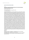## **WASTE MITIGATION SOLUTIONS**

<span id="page-28-0"></span>O12 **[<](#page-8-0)**

#### **MODEL2BIO. MODELLING TOOL FOR GIVING VALUE TO AGRI-FOOD RESIDUAL STREAMS IN BIO-BASED INDUSTRIES**

Tamara Fernández Arévalo<sup>1,\*</sup>

- $1$  CEIT, Basque Research and Technology Allance, Spain.
- \* Email: tfernandez@ceit.es

The agri-food industry generates around 50% of global waste, of which only 36% is recycled, although the potential recovery could be as high as 60%. These residual streams can be used as feedstock for the bio-based industry, provided that the composition, logistics and volume are carefully analysed. The European project MODEL2BIO (H2020-BBI-JTI-2019. No 887191) aims to create a Decision Support System (DSS) for managing residual streams produced in agri-food companies. This will be an innovative concept that using predictive models will be able to select the best ways for valorising these streams considering their composition, seasonality, and industry location among other factors. This innovative MODEL2BIO-DSS tool is based on the interconnection of three complementary elements (simulation module, optimisation algorithm and LCA module). The simulation module is able to predict the mass fluxes for any bio-based residual stream alternatives using a set of compatible model libraries describing the agri-food production lines, the intermediate processes (storage, mixing, separation and transport) and the final valorisation in the bioprocesses. All libraries use the same Components Vector according to the Plant-Wide Modelling (PWM) methodology (Grau et al., 2007; Fernández-Arévalo et al., 2014). The PWM methodology is a systematic and rigorous methodology for constructing mathematical models able to describe the whole systems as complex as required in each case study. This approach facilitates the mass, charge and energy continuity throughout the whole system. The Optimisation algorithm is able to select automatically the bio-based residual stream alternatives that minimise a global cost function previously defined using the mathematical models constructed. Finally, the LCA module estimates the environmental, economic and social impacts associated with any bio-based residual stream alternative using an LCA methodology. The main advantage of the tool is the possibility of giving a holistic solution or prioritisation. Although there are many commercial programs for the simulation of industrial processes, these are mainly based on the analysis of specific facilities, and not on broader analyses with various industries, in which logistics plays a key role. Model2Bio will simulate the entire value chain providing recommendations from a holistic perspective (technical, economic, environmental and social), with the prioritisation of the valorisation possibilities through technical-economic criteria and the final decision through holistic criteria. This will provide a new concept for waste management.

#### **References**

[1] Grau M., de Gracia P., Vanrolleghem, E. , Ayesa (2007). A new Plant-wide modelling methodology for WWTPs. Water Research 41 (19): 4357-4372.

[2] Fernández-Arévalo T., Lizarralde I., Grau P., Ayesa E. (2014). New systematic methodology for incorporating dynamic thermal modelling in multi-phase biochemical reactors. Water Research 60: 141-155.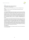

#### <span id="page-29-0"></span>O13 **[<](#page-8-1)**

#### **FIGHTING WINERY WASTE: GIVING A SECOND LIFE**

Irene Gouvinhas<sup>1,2,\*</sup>; Ana Isabel de Barros<sup>1,2</sup>

 $1$  Centre for the Research and Technology of Agro-Environmental and Biological Sciences, UTAD

<sup>2</sup> Inov4Agro - Institute for Innovation, Capacity building and Sustainability of Agri-Food production

\* Email: igouvinhas@utad.pt

The increase of the population and the climate changes are two of the major critical challenges that the population suffers worldwide, and that requires urgent intervention/answers to keep the availability of sustainable and health promoting food sources for most of the world population. Therefore, it becomes important to search for alternative, functional and sustainable food sources, as well as new added value for traditional food matrices and byproducts, that contributes to the circular economy by minimizing waste of valuable resources in the limits of environmental protection. Circular economy allows to integrate agricultural wastes and non-marketable products by means of innovative technologies/practices, as phytochemically abundant functional food or natural substitute to the synthetic health/beauty products.

Given the relevance of the winemaking companies, particularly at Douro region, and the amount of underexploited wastes produced, the development of innovative applications for these organic materials is necessary. In the last years, our research group works revealed the presence of bioactive compounds in winery by-products (WBPs), namely a variety of polyphenols and stilbenes that contribute to remarkable biological activities such as anti-inflammatory, antioxidant and antibacterial, among others. Most recently, a preliminary study developed by the team demonstrated the WBPs extracts capacity to inhibit the growth of some foot wound ulcers bacteria through disc diffusion and minimum inhibitory concentration (MIC) assays, as well as some anti-aging enzymes, revealing that WBPs are valuable candidates as wound healing agents and to prevent some aging processes, respectively.

#### **Acknowledgements**

This research was funded by the FCT (Portuguese Foundation for Science and Technology) Grant number UIDB/04033/2020.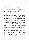

#### <span id="page-30-0"></span>O14 **[<](#page-8-2)**

# **WINTER SAVORY AND LEMONGRASS BYPRODUCTS USED IN THE DEVELOPMENT OF ANTIMICROBIAL BIOPLASTICS**

Mariana Vala<sup>1</sup>; João Cruz<sup>1</sup>; Sónia Ferreira<sup>2</sup>; Paulo Brites<sup>1</sup>; Pedro Teixeira<sup>3</sup>; Isabel Henriques<sup>3,4</sup>; Paula Ferreira<sup>1</sup> Elisabete Coelho<sup>2</sup>, Idalina Gonçalves<sup>1,\*</sup>

<sup>1</sup> CICECO, Department of Materials and Ceramic Engineering, University of Aveiro, Aveiro, Portugal;

<sup>2</sup> LAQV-REQUIMTE, Department of Chemistry, University of Aveiro, Aveiro, Portugal;

<sup>3</sup> CESAM, Biology Department, University of Aveiro, Aveiro, Portugal;

<sup>4</sup> Department of Life Sciences, Faculty of Science and Technology, University of Coimbra, Calçada Martim de Freitas, Coimbra, Portugal

\* Email: idalina@ua.pt

Winter savory (WS) and lemongrass (L) are aromatic plants often used for gastronomic and medicinal purposes, whose industrial processing originates stems/leaves that are often wasted and together valuable molecules, such as essential oils, are lost. On the other hand, the need of developing eco-friendly active packaging materials that allow to extend the foodstuff's shelf-life is of major concern. In this work, it was hypothesized that WS and L-derived essential oils and the whole byproducts can be used in the development of antimicrobial bioplastics. The influence of WS and L-derived essential oils and the grinded byproducts on the physicochemical, mechanical, and antimicrobial properties of a bioplastic formulation was studied. From WS and L byproducts were obtained ca. 0.34% ad 1.32% essential oils-rich in carvacrol (ca. 90%) and citral (ca. 89%), respectively, with antimicrobial activity against Staphylococcus aureus. When incorporated into a bioplastic formulation, WS and L-derived essential oils conferred a slightly yellowish coloration to the bioplastics, although barely perceivable at the human eye (ΔE < 3) and decreased the film's surface wettability, without interfering with the material's mechanical performance, except for films containing L-derived essential oils that showed a lower traction resistance than the pristine materials. On the other hand, grinded WS and L byproducts conferred a brownish coloration to the bioplastics; also decreased the film's surface wettability; and increased the material's rigidity. Both bioplastics containing WS and L-derived essential oils or grinded WS and L byproducts inhibited the Staphylococcus aureus growth, thus acquiring antimicrobial properties, being this effect more pronounced when the grinded byproducts were used. Overall, WS and L byproducts revealed to be a great source of antimicrobial molecules with potential to be used in the development of active bioplastics, opening an opportunity for their valorisation.

#### **Acknowledgements**

Thanks are due to University of Aveiro and FCT/MCTES for the financial support of CICECO-Aveiro Institute of Materials (FCT ref. UIDB/50011/2020 & UIDP/50011/2020), LAQV-REQUIMTE research Unit (FCT ref. UIDB/50006/2020 & UIDP/50006/2020), and CESAM (UIDP/50017/2020 & UIDB/50017/2020) through national funds. The authors acknowledge to Waste2Value project (PDR 2020 – 1.0.1-031824), financed by through national founds, co-financed by PDR2020, FEADER, within the PT2020 Partnership Agreement and to Ervital and Silvex for supplying the byproducts and the bioplastic formulation, respectively. FCT is also thanked for the Investigator FCT program (PF, IF/00300/2015), Scientific Employment Stimulus program (IG, CEECIND/00430/2017), and (EC, CDL-CTTRI-88-ARH/2018 - REF. 049-88-ARH/2018) by national funds (OE) in the scope of the framework contract foreseen in the numbers 4, 5, and 6 of the article 23, of the Decree-Law 57/2016, of August 29, changed by Law 57/2017, of July 19.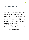

# **PITCH**

# **BY-PRODUCTS AS FOOD/FEED INGREDIENTS**

# <span id="page-31-0"></span>PITCH01 **[<](#page-9-1)**

#### **UTILIZATION OF RICE MILLING BY-PRODUCTS**

Neşe Yilmaz Tuncel\* ; Necati Barış Tuncel

\* Email: neseyilmaz@comu.edu.tr

During the commercial milling process, paddy rice is transformed into many fractions. Approximately, 56–58% of white rice, 10–12% of broken rice, 18–20% of husk and 10–12% of rice bran is obtained as a result of the milling process (Kahlon, 2009). In other words, about 40 % of the milled paddy constitutes products other than white rice. The milling process starts with removing the husk or hull to produce brown rice which is also called "cargo". Husk has a woody structure and not for use as food. Rice husks are often burned to produce energy. Brown rice, which can be considered as whole grain, is composed of starchy endosperm, germ and bran including aleurone. Brown rice kernels may vary in terms of maturity. Although harvest starts when the grains are generally mature, individual kernel maturity may vary widely and hence, immature rice grains are always formed to some extent. Despite being whole grains as their mature counterparts, immature rice grains are thinner and have a greenish or chalky appearance. In order to meet the consumer demands, brown rice is further milled to produce white rice and rice bran, which is the most valuable by-product of rice milling industry, occurs as a result of this polishing step. Composite rice bran may include many fractions such as germ, and broken rice kernels depending on the process. Rice bran and rice germ is also the source of rice bran oil which is another valuable by-product of the process. In conclusion, immature rice grain, rice bran, rice germ, and rice bran oil are the main by-products of rice milling industry. These by-products are generally evaluated as animal feed due to the rancidity problem caused mainly by lipase enzymes. Intact kernel is stable because the deteriorative enzymes and their substrates are physically located in separate zones. However, during milling lipases meet fat and causes hydrolysis of fat to free fatty acids and glycerol which results in rancid flavor and soapy taste in a very short time. On the other hand, these by-products comprise valuable bioactive compounds such as tocopherols, gamma-oryzanol, B group vitamins, minerals, dietary fiber, phenolics and antioxidants and have the potential to be used as value-added commodities in food, nutraceutical, and cosmetic industries when handled and processed accordingly. Some information about characterization and stabilization of rice milling by-products was reviewed.

#### **References**

[1] Kahlon T.S. (2009). Rice bran: production, composition, functionality and foods applications, physiological benefits, in Cho S.S., Fiber S.P. Ingredients: Food Applications and Health Benefits. CRC Press, Boca Raton, FL, pp. 305–321.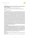

# <span id="page-32-0"></span>PITCH02 **[<](#page-9-1)**

# **VALORIZATION OF PINE NUT SKIN THROUGH MICROWAVE-ASSISTED EXTRACTION OF BIOACTIVE COMPOUNDS**

Soraia P. Silva<sup>1,\*</sup>; Guido R. Lopes<sup>1</sup>; Manuel A. Coimbra<sup>1</sup>; Elisabete Coelho<sup>1</sup>

<sup>1</sup> LAQV - REQUIMTE, Departamento de Química, Universidade de Aveiro, 3810-193 Aveiro, Portugal

\* Email: soraiapiressilva@ua.pt

Pine nut skin (PNS) is a by-product with an annual volume of approximately 550 metric tons worldwide [1]. PNS is easily recovered at the nut processing mill, has low moisture content and low density, reducing the costs associated with drying, transportation, and storage. PNS is currently used for heat production, however, the extraction of value-added compounds may allow its use as a functional food ingredient, enabling its valorization. To valorize PNS in the industry, low-cost and time-saving extraction methods must be employed. Microwave-assisted extraction (MAE) allows to attain high temperatures and is considered a green extraction methodology, due to the reduction of extraction time, solvent, and energy consumption [2]. Within this work, the MAE procedure was optimized to extract phenolic compounds from PNS. A full factorial design was used to estimate optimum extraction conditions, namely temperature (120, 150, 180 °C), time (1, 5.5, 10 min), and the ratio of sample mass to volume (w/v) (1, 2, 3 g to 60 mL) on the yield (% w/w), total phenolic content (TPC), and ABTS (free radical scavenging capacity).The three evaluated responses were significantly affected by the temperature, with a higher yield, TPC, and ABTS being obtained at 180 °C. Besides, the yield was affected negatively by w/v, and by the interaction between time and temperature. The interaction between time and w/v was significant on ABTS, which increased with time when the w/v was low and decreased with time when the w/v was high. Thus, the condition giving the best results for the three responses, simultaneously, was 180 °C, 1 min, and 1 g skins, which resulted in 18.8 % (yield), 229.1 mg gallic acid equivalent/g skins (TPC), and 310.5 mg ascorbic acid equivalent/g skins (ABTS).This work demonstrated that PNS could be valorized as a natural source of phenolic compounds, for the food and cosmetic industries.

#### **Acknowledgments**

The authors thank PineFlavour, Lda. for the sample supply. This work was financially supported by LAQV/REQUIMTE (UIDB/50006/2020) through national funds and, where applicable, cofinanced by the FEDER, within the PT2020 Partnership Agreement and Compete 2020, and Waste2Value project (PDR2020-101-031828, Partnership n. 94 / Initiative n. 189) through national funds and FEDER, within the PT2020 Partnership Agreement. Soraia Silva thanks FCT for the doctoral grant (SFRH/BD/136471/2018). Elisabete Coelho (CDL-CTTRI-88-ARH/2018 - REF. 049-88-ARH/2018) thanks the research contract funded by national funds (OE), through FCT, in the scope of the framework contract foreseen in the numbers 4, 5 and 6 of article 23, of the Decree-Law 57/2016, of August 29, changed by Law 57/2017, of July 19.

#### **References**

[1] International Nut and Dried Fruit Council Foundation (2017). Nuts and Dried Fruits Global Statistical Review.

[2] Ferreira-Santos P., Zanuso E., Genisheva Z., Rocha C.M.R., Teixeira J.A. (2020). Molecules 12 25.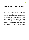

# <span id="page-33-0"></span>PITCH03 **[<](#page-9-2)**

# **ASSESSMENT OF BIOMETHANE POTENTIAL PRODUCTION FROM MEDITERRANEAN FEEDSTOCKS CO-DIGESTION**

Valenti F.<sup>1,\*</sup>; Selvaggi R.<sup>1</sup>

- <sup>1</sup> University of Catania Department Di3A
- \* Email: francesca.valenti@unict.it

There is a general consensus that climate change and global warming are the most imminent environmental issues the world is facing today. The goals fixed by the CO2-mitigation European policy are very challenging and encourage to move toward high recycling targets, paving the road from a linear to a circular economy as a real answer for the challenge of globalization. In this context, the biomasses are seen as one of the most dominant future renewable energy sources (Valenti et al., 2018). The agri-food chains generate by-products that represent a potential source of value for other companies and for the society. They constitute a reserve of compounds to be used and exploited through new production cycles, according to the principles of the circular economy (Selvaggi et al., 2018). Co-digestion of different feedstocks to produce biogas in anaerobic digesters, has been widely investigated for enhancing biogas production and recently has become an attractive economic and sustainable possibility for by-products and agricultural residues valorization. Only a few studies have reported that multiple feedstocks were used to carry out co-digestion. In this study the effects of mixing five Mediterranean feedstocks (citrus pulp, olive pomace, poultry manure, Italian sainfoin silage and opuntia fresh cladodes) on biogas production will be investigated by biomethane potential (BMP) test.BMP test as a simple lab-scale method has been widely used to evaluate digestibility of feedstocks and conclude the maximum methane yield of few combined feedstocks (Stromberg et al., 2015). This research will allow to screen the suitability and technical feasibility of some feedstockmixtures analysed. The data obtained will provide the basis for subsequent pilot scale evaluation of anaerobic digesters fed with these feedstock-mixtures, with the aim of selecting the best feedstock-mixture for enhancing biogas production by reusing by-products and agricultural residues. The adopted approach and the obtained results could facilitate developing biogas production in Mediterranean area as well as in other regions characterised by diverse sources of organic residues.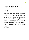

# <span id="page-34-0"></span>PITCH04 **[<](#page-9-3)**

#### **HYDROLATES AS POTENTIAL BIOPRESERVATIVES IN FOOD**

Annalisa Serio<sup>1,\*</sup>; Chiara Rossi<sup>1</sup>; Francesca Maggio<sup>1</sup>; Chiara Purgatorio<sup>1</sup>; Clemencia Chaves Lopez<sup>1</sup>; Antonello Paparella<sup>1</sup>

<sup>1</sup> Faculty of Bioscience and Technology for Food, Agriculture and Environment, University of Teramo, Italy

\* Email: aserio@unite.it

Innovative, effective and environmental-friendly antimicrobial strategies are even more necessary in different fields, including food processing and preservation. In particular, consumers are increasingly oriented towards minimally processed food, without chemical preservatives and with a green image. Among the natural substances, the biological activity of essential oils is well documented, while less information is available about hydrolates, obtained as a residue or by-product from the distillation of the essential oils themselves. The antimicrobial activity of hydrolates depends on their chemical composition, which in many cases involves the presence, albeit in lesser quantities, of the same compounds characterizing the corresponding essential oils (eg carvacrol in Coridothymus capitatus hydrolate). The antimicrobial activity has been proven in vitro against pathogenic bacteria of food interest, such as Listeria monocytogenes and Salmonella spp., as well as against yeasts, and phytopathogenic molds such as Botrytis cinerea and Rhizoctonia solani. Hydrolates effectiveness is often dose-dependent and could determine a bacteriostatic effect in low concentrations, or a bactericidal effect in quantities higher than 0.50 ml/ml. Nevertheless, the most important results regard in situ applications. In particular, the hydrophilic characteristics of the hydrolates make them suitable for the decontamination of industrial surfaces (eg hydrosol of Satureja thymbra), and even for the removal of biofilms (Thymbra capitata against Salmonella spp.). They are effective also in washing and sanitizing of vegetables and fruit to delay post-harvest decay, as observed in citrus fruit, pears and carrots, without affecting the sensory characteristics of the products. T. capitatus hydrosol has been also proved to reduce L. monocytogenes count in rocket salad. In conclusion, the data available underline the effectiveness of hydrolates as antimicrobials and suggest to deepen the research in this field to optimize their application in food products.

#### **References**

- [1] D'Amato et al. (2018)
- [2] Ozturk et al. (2016)
- [3] Serio et al. (unpublished data)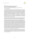

# <span id="page-35-0"></span>PITCH05 **[<](#page-9-4)**

#### **ADD VALUE TO TOMATO AND POTATO BY-PRODUCTS**

Marco Consumi<sup>1,\*</sup>; Gabriella Tamasi<sup>1</sup>; Claudio Rossi<sup>1</sup> <sup>1</sup>Department of Biotechnology, Chemistry and Pharmacy, University of Siena, Italy

\*marco.consumi@unisi.it

Tomatoes (*Lycopersicon esculentum*, L.) and potatoes (*Solanum tuberosum* L.) are among the most important worldwide agricultural crops due to their edible parts that are important ingredients in human diet. The first step after the crops consists of mechanical separation the ripe fruits from the unripe ones and from plants. At the end of the process the by-products are usually discharged. Although they do not represent a source of pollution, these may constitute a source of important bioactive compounds. Tomato plants and green tomatoes bio-synthesize tomatine as a defence against fungi and bacteria. The tomatine is a 1:10 mixture of two glycoalkaloids,  $\alpha$ -tomatine and dehydrotomatine. The  $\alpha$ -tomatine is a potential health promoting effects in cells, animals, and humans. Potato plants bio-synthesize solanesol, necessary to the plant in the immune response towards pathogens. There is an increasing demand for solanesol, since it is widely used in the cosmetic industry as an important intermediate for the synthesis of Q10 coenzyme.

Researches are mainly focused on the edible part of the plants but, the knowlege of the levels of bioactive molecules in the unedible plant and unripe fruits is fundamental to evaluate if the by-products can represet an opportunity to increase the vale of the agricoltural production.

Based on this idea several protcols of extraction and quantification via high performance liquid chromatography coupled with spectrofotometric and mass spectrometry detectors (HPLC-UV, HPLC-DAD/UV, HPLC-MS), were developped and validated to determine levels of glycoalkaloids in tomato and potato by-products. In particular,  $α$ -tomatine and dehydrotomatine in unripe tomato and tomato plant were quantified by reverse phase liquid chromatography, coupled with electrospray ionization triple quadrupole tandem mass spectrometry, RP-HPLC-ESI-QqQ-MS/MS. The glycoalkaloids were evaluated in industrial varieties of tomatoes at different ripening stages, commercial varieties of post-harvest ripened fruits, stored at different temperatures conditions. The content of the two glycoalkaloids was also analysed in green tomatoes thermally treated, simulating industrial processing conditions (boiling at 100 °C), and in industrial prototype products containing green tomatoes as ingredients. Thermal treatment does not seem to affect the total tomatine content. Finally, a particular attention was devoted to the determination of tomatine content in plant leaves (at different vegetation stages) and locular gel from fruits, as potential source of bioactive molecules.

The solanesol content was determined in potatoes leaves, collected at different vegetative stages of the plants. The results showed an exponential increase of solanesol content from 11.5  $\pm$  0.2 mg/kg in the baby-leaves to 3681.1  $\pm$  272.8 mg/kg at 144 days from the seeding. These values corresponded to the solanesol content detected in tobacco leaves, that are considered the main source of solanesol.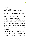

## **SUSTAINABLE BIOMATERIALS**

### PITCH06 **[<](#page-9-0)**

## **REPURPOSING POTATO CHIPS INDUSTRY BYPRODUCTS IN THE ACTIVE BIOPLASTICS PRODUCTION**

Ana Marta Peixoto<sup>1,\*</sup>; Sílvia Petronilho<sup>1,2</sup>; Rosário Domingues<sup>1,3,4</sup>; Fernando Nunes<sup>2</sup>; Idalina Gonçalves<sup>5</sup>; Manuel António Coimbra<sup>1</sup>

<sup>1</sup> LAQV-REQUIMTE, Chemistry Department, University of Aveiro, Aveiro, Portugal;

<sup>2</sup> Chemistry Research Centre-Vila Real, Chemistry Department, UTAD, Vila Real, Portugal;

- <sup>3</sup> Mass Spectrometry Centre;
- <sup>4</sup> CESAM, Centre for Environmental and Marine;
- <sup>5</sup> CICECO, Materials and Ceramic Engineering Department, University of Aveiro, Aveiro, Portugal
- \* Email: amfpeixoto@ua.pt

Food industry byproducts, together with the perishable foodstuff's loss, have promoted environmental and societal concerns. Under a circular economy concept, these byproducts can be valued as a source of biomolecules, such as polysaccharides, proteins, lipids, phenolics, and melanoidins, to develop active biobased materials. Potato chips industry generates byproducts, such as starch-rich washing slurries and brownish frying residues, that have simply been landfilled. In this work, a brownish-derived extract (BrE) and starch, both recovered from potato chips processing, were mixed and gelatinized to form bio-based films. The influence of BrE (5%, 10%, and 15% w/w related to the dry starch weight) on optical, mechanical, physicochemical (solubility, wettability), and active (antioxidant and UV-protective) properties of the films was studied. The incorporation of BrE conferred a yellowish coloration to the starch-based films, while maintaining their transparency. When compared to the pristine films, the extract also improved ca. 2x the traction resistance and elasticity of the films, decreasing concomitantly their hydrophilicity on both surfaces (water contact angles increased ca. 15° and 20° at the upper and down film surfaces, respectively). Moreover, the incorporation of BrE during films production allowed to increase the starch-based films antioxidant activity (from ca. 24% to ca. 94% of ABTS•+ inhibition in 4 h). Besides, the films water solubility and UV protective properties were directly related to the BrE dosage: when compared to the pristine films, as high the BrE amount, lower the films' solubility in water, changing from 12% in the pristine samples to almost 0% in films containing 15% of BrE, and higher their UV radiation absorption capacity, mainly at UV-C and UV-A at 340 and 250 nm, respectively. Therefore, the brownish-derived extract revealed to contain molecules of interest to tune the performance of potato starch-based films, offering a new in-situ strategy to valorize potato chips industry byproducts.

#### **Acknowledgements**

Thanks are due to UA and FCT/MCTES for the financial support of LAQV-REQUIMTE (UIDB/50006/2020), CICECO-Aveiro Institute of Materials (UIDB/50011/2020 & UIDP/50011/2020), and CESAM (UIDB/50017/2020 + UIDP/50017/2020) research units and CQ-VR at UTAD Vila Real (UIDP/00616/2020) through PT national funds and, where applicable, cofinanced by the FEDER, within the PT2020 Partnership Agreement, Compete 2020. The authors also thank to POTATOPLASTIC project (POCI-01-0247-FEDER-017938), financed by FEDER through POCI, to "Isolago – Indústria de Plásticos, S. A.", the project leader, and to "A Saloinha, Lda." for providing potato byproducts. FCT is also thanked for the post-doc grant SFRH/BPD/ 117213/2016 (SP) and for the Individual Call to Scientific Employment Stimulus (IG,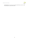

CEECIND/00430/2017). This work was also supported by NORTE 2020, under the PT 2020 Partnership Agreement, through the ERDF and FSE.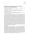

## PITCH07 **[<](#page-9-1)**

### **REUSING POTATO CHIPS INDUSTRY BYPRODUCTS IN THE DEVELOPMENT OF HYDROPHOBIC AND FLEXIBLE STARCH-BASED FILMS**

André Oliveira<sup>1,\*</sup>; Silvia Petronilho<sup>1,2</sup>; Rosário Domingues<sup>1,3,4</sup>; Fernando Nunes<sup>2</sup>; Idalina Gonçalves $1,3,5$ ; Manuel A. Coimbra $1$ 

<sup>1</sup> LAQV-REQUIMTE, Chemistry Department, University of Aveiro, Aveiro, Portugal;

<sup>2</sup> Chemistry Research Centre-Vila Real, Chemistry Department, UTAD, Vila Real, Portugal;

<sup>3</sup> Mass Spectrometry Centre;

<sup>4</sup> CESAM, Chemistry Department, University of Aveiro, Aveiro, Portugal;

<sup>5</sup> CICECO, Materials and Ceramic Engineering Department, University of Aveiro, Aveiro, Portugal

\* Email: andreoliveira98@ua.pt

Starch currently stands as a promising candidate for the production of biodegradable films with useful gas barrier and thermoplastic capabilities. However, their hydrophilic and brittle nature stand out as drawbacks that limit their application range. To overcome these weaknesses, in this work it was hypothesized that starch can be hydrophobized and plasticized during the starchbased films production by transesterification. Spent frying oil (SFO) and potassium hydroxide (KOH) powder were used as a triacylglycerides source and alkaline catalyst, respectively, to promote the starch modification. Under a circular economy concept, starch and SFO were obtained from potato washing slurries and potato frying residues, respectively. Different ratios of SFO (w/w related to the dry starch weight) were tested. When compared to the pristine films, the incorporation of at least 15% SFO/KOH gave rise to transparent, hydrophobic (water contact angles of ca. 90º), stretchable (ca. 20x), and elastic (ca. 5x) starch-based films with improved tolerance to water conditions. These improved properties were not observed when the films were produced without the catalyst. FTIR and 1H NMR revealed structural differences among the produced films, suggesting that starch was modified with the SFO-derived fatty acids. Therefore, the incorporation of SFO and KOH during the films production revealed to be a promising strategy to develop bio-based materials with improved hydrophobicity and flexibility while valorizing the potato chips industry byproducts.

#### **Acknowledgements**

Thanks are due to the UA and FCT/MCTES for the financial support of LAQV-REQUIMTE (UIDB/50006/2020), CICECO-Aveiro Institute of Materials (UIDB/50011/2020 & UIDP/50011/2020), and CESAM (UIDB/50017/2020 + UIDP/50017/2020) research units and CQ-VR at UTAD Vila Real (UIDP/00616/2020) through PT national funds and, where applicable, cofinanced by the FEDER, within the PT2020 Partnership Agreement, Compete 2020, and to the Portuguese NMR Network. The authors also thank to POTATOPLASTIC project (POCI-01-0247- FEDER-017938), financed by FEDER through POCI, to "Isolago – Indústria de Plásticos, S. A.", the project leader, and to "A Saloinha, Lda." for providing potato byproducts. FCT is also thanked for the post-doc grant SFRH/BPD/ 117213/2016 (SP) and for the Individual Call to Scientific Employment Stimulus (IG, CEECIND/00430/2017). This work was also supported byNORTE 2020, under the PT 2020 Partnership Agreement, through the ERDF and FSE.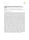

## PITCH08 **[<](#page-10-0)**

## **BIOCASCADING APPROACH IN THE AGRO-RESIDUES VALORIZATION: THE BIOCOMPOSITE PRODUCTION AS A PROLIFIC CONTRIBUTION TO THE CIRCULAR ECONOMY**

Micaela Vannini<sup>1,\*</sup>; Laura Sisti<sup>1</sup>; Paola Marchese<sup>1</sup>; Grazia Totaro<sup>1</sup>; Annamaria Celli<sup>1</sup>

<sup>1</sup>Department of Civil, Chemical, Environmental, and Materials Engineering, University of Bologna, Italy

\* Email: micaela.vannini@unibo.it

The increasingly pressing demand of civil society to move towards the circular economy models drives the scientific community to explore new routes to fully valorise wastes in order to achieve the zero-waste objective. From this perspective, even the residues of agro-industrial processing must not be considered as a waste, the disposal of which involves an economic cost, but as a potential source of valuable products. Indeed, this kind of leftover biomasses and food production by-products can be particularly rich in proteins, carotenoids, polyphenols, caffeine, and fibres, which could find application in various sectors as food, nutraceuticals, cosmetics and packaging. Within the PROLIFIC project, a range of green and innovative processing technologies to recover significant amounts of the above-mentioned value-added compounds from industrial processing residues of legumes (seeds of peas, beans and chickpeas), fungi (cuttings and mycelia of different species) and coffee (silver skin residue and not compliant roasted seeds) has been tested and developed. The protein extraction has been performed by using environmentally friendly aqueous extraction (EFAE), enzyme-assisted extraction (EAE) and ultrasound-assisted (UAE) and microwave-assisted (MAE) extractions. The resultant residues have been further exploited by using supercritical CO2 extraction (SFE-CO2), subcritical water extraction (SWE) and alkali extraction to recover polyphenols, caffeine and fibres. The described biocascading approach allows actually collecting interesting compounds but also produces an ultimate fibrous waste, which, with the purpose to keep it into the circular economy loop, can be differently valorised. In fact, it is well-known the use of natural fibre residues as filler in polymeric matrices to prepare bio-composites, characterized by decreased costs but retained mechanical properties. Composites based on biodegradable and bio-sourced polymers have been successfully prepared by melt-mixing, with the extracted residues in different ratio but without any additive. All the materials are characterized by high thermal stability and in any case, the temperature of thermal degradation resulted far higher than the polymer processing temperatures. The addition of residues has not affected the crystallization and melting processes of the polymeric matrices. The tensile tests have shown an increment in the Young modulus and a decrement in both the strength and the elongation at break consistent with filler loadings. However, for a reduced amount of filler, the overall properties of the matrix have been retained. Then, the results demonstrate that also the ultimate agro-residues, after the extraction of high value molecules, can be successfully exploited. Finally, it is notable that the obtained material costs can be remarkably reduced and applications in different packaging sectors, such as cosmetic area and food industry, can be taken into consideration.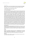

## PITCH09 **[<](#page-10-1)**

#### **BREWER'S SPENT YEAST POLYSACCHARIDES FOR FOOD PACKAGING DEVELOPMENT**

Sérgio Viduêdo<sup>1,\*</sup>; Sofia F. Reis<sup>1</sup>; Cláudia Nunes<sup>2</sup>; Elisabete Coelho<sup>1</sup>; Manuel A. Coimbra<sup>1</sup>

- <sup>1</sup> LAQV-REQUIMTE, University of Aveiro, Aveiro, Portugal
- <sup>2</sup> CICECO, University of Aveiro, Aveiro, Portugal
- \* Email: sergioviduedo@ua.pt

Brewer's spent yeast (BSY) is an abundant, recyclable and inexpensive by-product of the brewing industry, being a source of valuable compounds, such as glucans and mannoproteins. These compounds are reported to have promising applications1 and can be solubilized from BSY by several extraction methods leading to extracts with different compositions which rule their applications. This work aims to evaluate the production of biomaterials with potential application as food packaging, using different aqueous extracts from BSY. Hot water and alkaline extracts (0.1M and 4M KOH) were tested in the production of films using the solvent casting method (drying at 25-35 °C during 16-24 h) and different percentages of plasticizer (glycerol) and crosslinker (genipin). Both hot water and 0.1M KOH extract films were produced but were highly hygroscopic (water contact angle of 49-87°) and would crack under heavy tension (Young's Modulus of 67 MPa, tensile strength of 2 MPa, elongation at break of 24 % for 0.1M KOH film), displaying a fragile nature. To improve this, sepiolite, a soft white clay mineral was used as a filler in different percentages. Films produced with sepiolite had a light greenish tint and a high resistance. Films with the 4M KOH alkaline extract (23 % of protein and 74 % total sugars with 22 mol% Rib, 30 mol% Glc and 48 mol% Man residues) showed better characteristics. These films were produced by solvent casting (drying at 35 °C during 16 h) using 20 mg sample/cm2, 50 % (w/w) glycerol, 0.2 % (w/v) genipin, and 3.5 % (w/v) sepiolite. The films showed a water contact angle of 52° and a Young's Modulus of 371 MPa, a tensile strength of 8 MPa and an elongation at break of 5 %, meaning that the film had still a hydrophilic nature, albeit being more rigid and strong, being able to be handled. These results show that films with different characteristics may be produced from different aqueous BSY extracts, allowing the production of films that can meet the requirements for a specific food packaging application.

#### **Acknowledgements**

Elisabete Coelho (CDL-CTTRI-88-ARH/2018-REF.049-88-ARH/2018) and Cláudia Nunes (CDL-CTTRI-88-ARH/2018-REF.060-88-ARH/2018) thank the research contract funded by national funds (OE), through FCT, in the scope of the framework contract foreseen in the numbers 4, 5 and 6 of the article 23, of the Decree-Law 57/2016, of August 29, changed by Law 57/2017, of July 19.

#### **Funding**

This work was financially supported by the project Yeast4FoodMed (POCI-01-045-FEDER-030936), LAQV/REQUIMTE (UIDB/50006/2020 & UIDP/50006/2020), and CICECO (UIDB/50011/2020 & UIDP/50011/2020) through national funds and, where applicable, cofinanced by the FEDER, within the PT2020 Partnership Agreement and Compete 2020

#### **References**

[1] Puligundla P., Mok C. (2020). Park, S. Advances in the valorization of spent brewer's yeast. Innov. Food Sci. Emerg. Technol. 62, 102350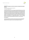

## PITCH10 **[<](#page-10-2)**

### **CARDOON A SUSTAINABLE CULTURE WITH POTENTIAL FOR INNOVATIVE BIO-BASED PRODUCTS**

Paulo Barracosa; Mariana Barracosa; Euclides Pires

\* Email: pbarracosa@esav.ipv.pt

Cardoon (*Cynara cardunculus* L.) is a multi-purpose and versatile Mediterranean crop, adapted to climate change with a wide spectrum of potential applications due its added value as a rich source of fibres, oils and bioactive compounds. The potential use of cardoon for biotechnological applications is due to its high content of bioactive compounds such as oligofructose inulin, caffeoylquinic acids, flavonoids, anthocyanins, sesquiterpenes lactones, triterpenes, fatty acids and aspartic proteases. Cardoon flower extract is a vegetable coagulant used exclusively in the manufacture of some Mediterranean PDO cheeses due to its extremely high concentration in cardosins. The characteristics and functions of cardoon biomass permits the development of innovative bio-based-products for biotechnological application in food and nutrition, pharmaceutics and cosmetics, plant protection and biocides, oils and energy, lignocellulose materials, and healthcare industries following the actual trends of a circular economy.

#### **Acknowledgments**

The study was supported by the Programa de Desenvolvimento Rural 2014–2020 (PDR2020) under Portugal 2020 and through the Fundo Europeu Agrícola de Desenvolvimento Rural (FEADER) for the financial support of the Cheese Project (PDR2020-101-031002).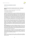## **GENERATING ENVIRONMENTAL BENEFITS**

PITCH11 **[<](#page-10-3)**

#### **SHORT ROTATION COPPICES AS RENEWABLE ENERGY SOURCE: A PROFITABILITY ANALYSIS**

Giuseppina Rizzo<sup>1,\*</sup>; Testa Riccardo<sup>1</sup>; Schifani Giorgio<sup>1</sup>; Giuseppina Migliore<sup>1</sup>;

<sup>1</sup>Università degli Studi di Palermo, Palermo, Italy

\* Email: giuseppina.rizzo03@unipa.it

Introduction: The global warming and the increase in the demand for energy have led to the development of renewable resources to the detriment of the fossil fuels that contribute about 80% to the emission of greenhouse gases (GHGs), the main causes of climate change. Among the renewable energies, several studies have highlighted the numerous environmental benefits that characterize Short Rotation Coppices (SRCs) as biomass crops as they represent carbonneutral species that reduce, among the other, the CO2 and NO2 emissions (Dahmen et al., 2019). The question that arises is: are these productions also sustainable from an economic point of view? Profitability, in fact, is a key factor for farmers' choices and represents the condicio sine qua non of their diffusion in the agricultural sector. This study aimed at responding to this question by evaluating the profitability of Paulownia, a SRC that rapidly spreading across Europe.

Materials and methods: Economic analysis has been performed in 2020 in a Southern Italian farm, where it has been introduced the Paulownia clone in vitro 112® (Paulownia elongata x fortunei) to obtain timber and biomass production (dual-use production) that has been compared with the hypothesis in which Paulownia is exclusively destined for biomass production. To evaluate the economic profitability of Paulownia, the discounted cash flow (DCF) method has been adopted (Blanc et al., 2019), by determining the annual gross margin (AGM). Finally, a sensitivity analysis for each surveyed crops has been performed, by varying sales price and yield.

**Results and discussion:** Economic analysis has highlighted an AGM value of 357.91 € ha-1 for dual-use production, against a value of 4.22 € ha-1 for biomass production. This is due to both the lowest planting density of SRC for dual-use production and its highest revenues for the greatest yield and the timber production. Finally, the sensitivity analysis denotes that SRC for exclusively biomass production appears to be an economically viable investment only with an increase in the woodchip price or biomass yield.

Conclusions: SRCs represent an opportunity for socio-economic development of some rural areas by avoiding exodus rural phenomena. They can play a key role in the creation of a sustainable biomass supply chain, thanks to their environmental benefits, contributing to the achievement of SDGs of 2030 Agenda, among which production of renewable energies, climate change mitigation and sustainable economic growth.

#### **References**

[1] Blanc S., Gasol C. M., Blanco J.M., Muñoz P., Coello J., et al. (2019). Economic profitability of agroforestry in nitrate vulnerable zones in Catalonia (NE Spain). Spanish journal of agricultural research 17(1), 0101.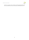

[2] Dahmen N., Lewandowski I., Zibek S., Weidtmann A. (2019). Integrated lignocellulosic value chains in a growing bioeconomy: Status quo and perspectives. GCB Bioenergy 11(1): 107-117.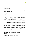

## **WASTE MITIGATION SOLUTIONS**

## PITCH12 **[<](#page-10-4)**

#### **VEGETATIVE PARTS OF** *HUMULUS LUPULUS* **L. AS A SOURCE OF HIGH‐VALUE BIOACTIVE COMPOUNDS**

Olívia R. Pereira<sup>1,\*</sup>; Maria João Sousa<sup>1</sup>; Gleiciara Santos<sup>2</sup>; Beatriz Gullón<sup>3</sup>

<sup>1</sup> Centro de Investigação de Montanha (CIMO), Instituto Politécnico de Bragança, Campus de Santa Apolónia, Bragança, Portugal

<sup>2</sup> School of Health Science, Polytechnic Institute of Bragança, Av. D. Afonso V,

Bragança, Portugal.

<sup>3</sup> Universidade de Vigo, Departamento de Enxenería Química, Facultade de Ciencias, 32004 Ourense, Spain

\* Email: oliviapereira@ipb.pt

Hop (*Humulus lupulus* L.), a member of the family Cannabaceae, is a hardy climbing perennial plant native to the northern hemisphere (1). It is a native plant and cultivated in the northern regions of Portugal and Galicia, having contributed for decades to the development of the regions. Large amounts of vegetal material such as leaves stems and small-caliber cones (hops) are discarded in the harvest process of hops for further use in brewing industry constituting an ecological and economical issue (2,3). This work aimed to optimize techniques for extracting phenolic compounds from samples of plant parts (leaves and stems) of spontaneous plants of *Humulus lupulus* from Bragança – Portugal. For that, solid-liquid extractions of vegetative parts of H. lupulus (1:10g) were performed with stirring, microwave at 30 minutes and 1 hour and using ultrasound using as extraction solvents water; ethanol: water: 50% (v/v); ethanol: water 80% (v/v). In addition, total phenolic compounds and total flavonoids were determined as well as some antioxidant assays were performed.

The H. lupulus extracted with a 50% hydroalcoholic solution in microwave was the richest in total phenolic compounds and total flavonoids, followed by the extraction with the same solvent under stirring. In agreement with these results, the same two extracts showed better antioxidant power either in FRAP assay  $(13.25\pm0.019$  mg TE/g plant and 8.91 $\pm$ 0.73 mg TE/g plant, respectively) as in ABTS+ (47.79±9.43 mg TE/g plant and 38.60±4.00 mg TE/g plant, respectively). The same extraction methods (microwave and stirring) but using the solvent ratio ethanol: water 80% (v/v) were also associated with a high number of phenolic compounds and flavonoids, which is in agreement with the values obtained in the antioxidant tests, especially regarding the extraction by stirring. The present work shows the potential interest of non-used parts of H. lupulus L. as source of high-value bioactive compounds.

#### **Acknowledgments**

The authors are grateful to the Foundation for Science and Technology (FCT, Portugal) for financial support by national funds FCT/MCTES to CIMO (UIDB/00690/2020).

#### **References**

[1] McCallum J.L., Nabuurs M.H., Gallant S.T., Kirby C.W., Mills A.A.S. (2019). Phytochemical Characterization of Wild Hops (Humulus lupulus ssp. lupuloides) Germplasm Resources From the Maritimes Region of Canada. Front Plant Sci. 10(December).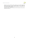

[2] Fărcaş A.C., Socaci S.A., Mudura E., Dulf F.V., Vodnar D.C., M.T, et al. (2017). Exploitation of Brewing Industry Wastes to Produce Functional Ingredients 137–56. Available from: https://www.researchgate.net/publication/318655144\_Exploitation\_of\_Brewing\_Industry\_Wa stes\_to\_Produce\_Functional\_Ingredients

[3] Rachwał K., Waśko A., Gustaw K., Polak-Berecka M. (2020). Utilization of brewery wastes in food industry. PeerJ.8:1–28.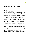

## PITCH13 **[<](#page-10-5)**

## **WASTE ELIMINATION PROCESSES: FROM LEAN TO KAIZEN IN THIRD SECTOR ORGANIZATIONS**

Ana Branca da Silva Soeiro de Carvalho<sup>1,\*</sup>; António Pinto; Carolina Cesário<sup>2</sup>; Daniela Santos<sup>2</sup>; Mariana Saraiva<sup>2</sup>

 $1$  CiSeD – IPV

<sup>2</sup> Estgl - IPV

\* Email: anabrancacarvalho@gmail.com

In a globalized world, the challenges are many for companies and organizations. To face these challenges, organizations need to increase their productivity in order to become more competitive. This need leads organizations to look for new management methodologies and techniques. All available methodologies and techniques are an aid in business management. The Lean philosophy focuses on process efficiency and its main objective is to offer maximum value using the least amount of resources possible. Therefore, it is necessary to completely eliminate all waste (activities that do not add any value) and focus on completing only the necessary work within a certain period, so you can establish a progress of the company's processes. This article analyze the concepts and principles of these methodologies and make a comparative study between them, identifying the aspects that distinguish them and the similarities found, as well as verifying their application in a third sector institution.

Third sector organizations are gaining more and more social weight, they increasingly need to achieve the much desired organizational sustainability and, for this purpose, they turn to management to perform a sustainable, effective, efficient, quality and transparent work. According to the previously developed concept of Lean Six Sigma, it was found that it is important for Third Sector Organizations, in particular, with regard to the sustainability of Organizations, as it is impactful in its various dimensions (financial, environmental and social) (Freitas; Costa and Ferraz, 2016). For this purpose, they created three pillars of organizational sustainability (financial, social and environmental pillar) and measured the influence of the implementation of Lean Six Sigma on these, having verified that the impacts are of greater magnitude in the financial and social pillar followed by the environmental pillar. The use and application of Lean and Six Sigma concepts in third sector organizations will allow for a better understanding and comparison of initial situations with the final results, in a context of improvements based on the elimination of waste and reduction of errors.

#### **References**

[1] Campos M. (2013). "O Terceiro Sector em Portugal: A importância dos planos de comunicação estratégica nas Instituições Particulares de Solidariedade Social da Região Norte – O caso da Misericórdia de Santo Tirso.". UBI – Universidade da Beira Interior. Disponível em: http://www.bocc.ubi.pt/pag/m-comunicacaoestrat-2013-marco-campos.pdf

[2] Freitas J.G., Costa H.G., Ferraz F.T. (2016). Influência da metodologia Lean six Sigma sobre a sustentabilidade nas organizações - Uma pesquisa Survey. Anais do XLVIII SBPO

[3] Jesus L.E.F. (2013) Gestão Lean aplicada ao Terceiro Setor. Universidade de Aveiro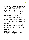

## PITCH14 **[<](#page-10-6)**

#### **VALORISATION OF CARDOON TO PRODUCE BIOCHAR WITH ADSORBENT PROPERTIES**

Sónia S. Ferreira<sup>1,2,\*</sup>; Luís Rodrigues<sup>1,3</sup>; Paula Ferreira<sup>4</sup>; Elisabete Coelho<sup>1</sup>; Manuel A. Coimbra<sup>1</sup>

<sup>1</sup>Department of Chemistry, LAQV-REQUIMTE, University of Aveiro, Portugal

<sup>2</sup>Department of Chemistry, CICECO - Aveiro Institute of Materials, University of Aveiro, Portugal

<sup>3</sup>COLAB4FOOD, INIAV – Polo de Vairão, Vila do Conde, Portugal

<sup>4</sup>Department of Materials and Ceramic Engineering, CICECO - Aveiro Institute of Materials, University of Aveiro, Portugal

\* Email: soniasferreira@ua.pt

Cardoon flower is used in the production of goat and sheep cheese in the milk coagulation process [1]. Cardoon stems and leaves are usually leaved in the fields, generating a large amount of agricultural by-products. Nevertheless, these by-products represent a source of biomass to produce biochar with potential adsorbent properties [2]. Therefore, the production of biochar from cardoon can be used as a valorisation strategy. In this study, cardoon stems and leaves were pyrolyzed in the absence of oxygen at 550 ºC or 900 ºC. Each biochar was characterized for its pH, ashes, H, N, and C contents, particle size, surface area by BET analysis, and pore volume and size according BJH method. Adsorbent properties were evaluated against monensin A, a coccidiostat used as additive in poultry feed.

Pyrolysis of cardoon by-products yielded 14-35% of biochar with alkaline pH (10-12). The pyrolysis at 900ºC promoted higher surface area and pore volume, while promoting lower pore size. Biochar with higher surface area was able to adsorb 43.5 mg/g of monensin in comparison with the 5.1 mg/g adsorbed by commercial biochar. These results indicate that cardoon byproducts can be valorised as biochar with monensin A adsorbent properties, being exploited towards reduction of water and soil contamination.

#### **Acknowledgements**

Thanks are due to University of Aveiro and FCT/MCTES for the financial support through national funds of research units CICECO-Aveiro Institute of Materials (UIDB/50011/2020) and LAQV-REQUIMTE (UIDP/50006/2020). Authors thank to Waste2Value project (PDR 2020– 1.0.1- 031824), co-financed by national funds and PDR2020, FEADER, within the PT2020 Partnership Agreement and to Ancose for supplying the by-products. PF thanks Investigator FCT program (IF/00300/2015) and EC thanks the research contract (CDL-CTTRI-88-ARH/2018 - REF. 049-88- ARH/2018) funded by national funds (OE) in the scope of the framework contract foreseen in the numbers 4, 5, and 6 of the article 23, of the Decree-Law 57/2016, of August 29, changed by Law 57/2017, of July 19.

#### **References**

[1] Barracosa, et al. (2019). Cardoon as a sustainable crop for biomass and bioactive compounds production. Chem. Biodivers., 16, e1900498;

[2] Ghodake, et al. (2021). Review on biomass feedstocks, pyrolysis mechanism and physicochemical properties of biochar: State-of-the-art framework to speed up vision of circular bioeconomy. J. Clean. Prod., 297, 126645.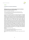



## **BY-PRODUCTS AS FOOD/FEED INGREDIENTS**

P01 **[<](#page-11-0)**

### **CORN COB (***ZEA MAYS* **L.) AS A POTENTIAL SOURCE OF BIOACTIVE COMPOUNDS: COMPARISON OF DIFFERENT EXTRACTION METHODS**

Ilaria Frosi<sup>1,\*</sup>; Chiara Milanese<sup>2</sup>; Adele Papetti<sup>1</sup>

<sup>1</sup>Drug Sciences Department, University of Pavia, Viale Taramelli 12/14, Pavia, Italy

<sup>2</sup>C.S.G.I and Chemistry Department, University of Pavia, Viale Taramelli 16, Pavia, Italy

\* Email: ilaria.frosi01@universitadipavia.it

The minimization and reutilization of food waste is extremely relevant nowadays. Following the guidelines of the European Commission on the long-term strategies for a sustainable development to support a circular economy [1], the aim of this research was to valorize corn cob (Zea mays L.), as a promising source of bioactive compounds possessing healthy properties [2]. Different extraction protocols were set-up, and a conventional method was compared to innovative approaches, also assisted by microwaves. The recovery of phenolic compounds was evaluated using different solvents, traditional hydro-alcoholic mixtures and innovative natural eutectic mixtures with the so-called deep eutectic solvents strategy [3]. The effect of different parameters on the extraction yield was studied using experimental designs and the composition of each extract was monitored by RP-HPLC-DAD. Polyphenols characterized by different chemical structure were present in corn cob extracts independently from both the extraction methods and the tested solvents. Results indicated that the highest extraction yields were generally obtained by means of the innovative microwave assisted extraction with traditional hydro-alcoholic mixtures. Reduced extraction time and therefore energy consumption were the main advantages of this technique with respect to the conventional approach, probably due to the formation of pores and fractures on the plant matrix induced by microwaves, as confirmed by scanning electron microscopy (SEM) analysis performed on corn cob before and after microwave irradiation. The best extract obtained from the previous investigation was characterized by LC-ESI-MS/MS. Different polyphenolic compounds known for their healthy properties are present, suggesting a promising bioactivity, that will be confirmed by further assays

#### **References**

[1] European Grean Deal (2019). Available online at:

https://ec.europa.eu/info/strategy/priorities-2019-2024/european-green-deal\_it.

[2] Lao F., Giusti M.M. (2017). J. Cereal Sci. 80: 87-93.

[3] Ruesgas-Ramón M., Figueroa-Espinoza M.C., Durand E. (2017). J. Agric. Food Chem. 65: 3591- 3601.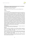

## P02 **[<](#page-11-1)**

## **VALORIZATION OF BY-PRODUCTS FROM CRAFT BEERS INDUSTRY: PHYTOCHEMICAL CHARACTERIZATION OF SPENT GRAINS AND HOPS**

Cristiana Breda<sup>1,2,\*</sup>; Irene Gouvinhas<sup>1,2</sup>; Ana Barros<sup>1,2</sup>

<sup>1</sup>Centre for the Research and Technology of Agro-Environmental and Biological Sciences (CITAB)

2 Inov4Agro

\* Email: cristianav@utad.pt

Beer is one of the oldest alcoholic beverages produced and consumed in the world (Humia et al., 2020). Craft beers is a new concept introduced in the beer industry and its definition is not legally determined, however, most authors define it as a product that is produced using traditional practices and using traditional or innovative raw materials (Jaeger et al., 2020). The craft beer brewing generates substantial quantities of by-products, namely spent grains and spent hops. These by-products can be used for microalgae production, biofuel production, polyphenolic and antioxidative substances, etc (Petrón et al., 2021). Therefore, the present study determines the phenolic composition and antioxidant capacity of two different byproducts of the craft beer industry, namely spent grains and spent hops. For each by-product the goal was to evaluate the phenolic composition and antioxidant capacity, and for that we performed the determination of the total polyphenolic, ortho-diphenols and flavonoids contents. The determination of antioxidant capacity was performed using the ABTS and DPPH methodologies. The results showed that there were significant differences in the content of phenolic compounds and antioxidant capacity of the analyzed by-products. Concerning total phenolic content, ortho-diphenols, and flavonoids, spent hops exhibited the highest concentration, with 8.63  $\pm$  0.38 mg GA/g, 20.40  $\pm$  0.67 mg GA/g, and 2.07  $\pm$  0.13 mg CAT/g, respectively. Regarding the antioxidant capacity, spent hops was also the by-product that presented the highest antioxidant capacity for the two methods. Thus, these by-products represent sustainable and good alternative for bioactive compounds recovery and could be significantly useful in cosmetic, pharmaceutical and food industry.

#### **Acknowledgements**

This work was financially supported by National Funds by FCT - Portuguese Foundation for Science and Technology, under the project UIDB/04033/2020.

#### **References**

[1] Humia B.V., Santos K.S., Schneider J.K., Lessa I., Abreu G., De Batista T., Aparecida B., Machado S., Izabel J., Canielas L., Mendonça C., Ferreira F. (2020). Physicochemical and sensory pro fi le of Beauregard sweet potato beer. Food Chem. 312, 126087. https://doi.org/10.1016/j.foodchem.2019.126087

[2] Jaeger S.R., Worch T., Phelps T., Jin D., Cardello A.V. (2020). Preference segments among declared craft beer drinkers: Perceptual, attitudinal and behavioral responses underlying craftstyle vs. traditional-style flavor preferences. Food Qual. Prefer. 82, 103884. https://doi.org/10.1016/j.foodqual.2020.103884

[3] Petrón M.J., Andrés A.I., Esteban G., Timón M.L. (2021). Study of antioxidant activity and phenolic compounds of extracts obtained from different craft beer by-products. J. Cereal Sci. 98. https://doi.org/10.1016/j.jcs.2021.103162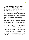

## P03 **[<](#page-11-2)**

#### **HOW TO PROFIT FROM AN INDUSTRIAL BY-PRODUCT OF ELDERBERRY JUICE?**

Cláudia M. B. Neves<sup>1</sup>, Élia Fogeiro<sup>2</sup>, António Pinto<sup>1,3,4</sup>, Fernando Gonçalves<sup>1,4</sup>, Dulcineia F.  $Wessel^{1,2,3,*}$ 

<sup>1</sup> Polytechnic Institute of Viseu, Agrarian School of Viseu, 3500-606 Viseu, Portugal

2 LAQV-REQUIMTE, Department of Chemistry, University of Aveiro, 3810-193 Aveiro, Portugal

<sup>3</sup> CITAB, University of Trás-os-Montes e Alto Douro, 5001-801 Vila Real, Portugal

<sup>4</sup> CERNAS-IPV, Agrarian School of Viseu, 3500-606 Viseu, Portugal

\* Email: ferdulcineia@esav.ipv.pt

Black elderberry (*Sambucus nigra* L.) is recognized for its high content of antioxidants mainly anthocyanins, flavonols, and other phenolic acids.<sup>1</sup> Cyanidin-3-O-glucoside and cyanidin-3-Osambubioside are the main anthocyanins present and rutin is the most representative flavonol. Elderberry pomace, the by-product resulting from berries pressing in industrial juice processing represents 25-40% of total berry weight and has low economic value as it is conventionally used as animal feed or as an organic fertilizer. However, this by-product still contains considerable amounts of bioactive compounds that can be recovered to be used in the production of valueadded ingredients and products bringing several opportunities in the food sector. Elderberry pomace can be a good source of natural colouring agents and antioxidants since anthocyanins pigments remain in pomace to a large extend representing 75-98% of total pomace.<sup>2</sup> Other phenolic compounds such as flavonols, phenolic acids and tannins, as well as, vitamins, provitamins, essential unsaturated fatty acids, dietary fiber and other valuable compounds can be found in pomace. These compounds have antioxidant, antimicrobial among other healthpromoting properties and have potential to be used as preservatives and in the development of functional foods.<sup>3</sup>This work intends to provide an overview of the chemical composition of the pomace resulting from the industrial elderberry juice production, and to show how the industry can find benefits through the effective utilization of this by-product as source of bioactives, natural pigments and preservatives.

#### **Acknowledgements**

Thanks are due to the Polytechnic Institute of Viseu and to FCT/MEC for the financial support to CERNAS-IPV, LAQV-REQUIMTE (UIDB/50006/2020) and CITAB (FCT UIDB/04033/2020) research units, through national funds, and the co-funding by the FEDER, within the PT2020 Partnership Agreement and Compete 2020. The authors thank the financial support of the Project BagaConValor - Criação de valor no processo tecnológico de produção de sumo concentrado de baga de sabugueiro (POCI-01-0247-FEDER-033558).

#### **References**

[1] Veberic R., Jakopic J., Stampar F., Schmitzer V. (2009). European elderberry (*Sambucus nigra* L.) rich in sugars, organic acids, anthocyanins and selected polyphenols. Food Chemistry 114: 511–515.

[2] Bronnum-Hansen K., Jacobsen F., Flink J.M. (1985). Anthocyanin colourants from elderberry (*Sambucus nigra* L.). 1. Process considerations for production of the liquid extract. Journal of Food Technology 20: 703-711.

[3] Przybylska-Balcerek A., Szablewski T., Szwajkowska-Michałek L., Świerk D., Cegielska-Radziejewska R., Krejpcio Z., Suchowilska E., Tomczyk Ł. (2021). Stuper-Szablewska, K. Sambucus Nigra Extracts–Natural Antioxidants and Antimicrobial Compounds. Molecules 26, 2910.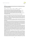

### P04 **[<](#page-11-3)**

## **DOSE EFFECT OF SAVORY (***SATUREJA MONTANA***) FEED SUPPLEMENTATION IN SMALL INTESTINE MORPHOMETRY**

Oliveira, J.<sup>1,2,3</sup>, Vala, H.<sup>1,3</sup>, Coelho, C.<sup>1,3,4</sup>, Garcia, C.<sup>1</sup>, Perdigão, A.<sup>1,2,3</sup>, Wessel, D.<sup>1,3,5</sup>

<sup>1</sup> Agrarian School of Viseu, Polytechnic Institute of Viseu, Viseu, Portugal <sup>2</sup> Centre for Natural Resources, Environment and Society (CERNAS-IPV Research Centre), Polytechnic Institute of Viseu, Polytechnic Campus, Repeses, Viseu, Portugal <sup>3</sup> Centre for the Research and Technology of Agro-Environmental and Biological Sciences (CITAB), University of Trás-os-Montes e Alto Douro (UTAD), Vila Real, Portugal <sup>4</sup>Veterinary and Animal Research Centre (CECAV), University of Trás-os-Montes e Alto Douro (UTAD), Vila Real, Portugal

<sup>5</sup>LAQV-REQUIMTE, Department of Chemistry, University of Aveiro, Aveiro, Portugal

In general, the feed supplementation in broilers pretend achieve better performances in a more efficient way. The utilization of aromatic herbs, namely its by-products after the main agroindustrial use, is a strategy to modulate the gut ecosystem and maintain or reinforce the epithelial integrity. The utilization of raw powder stems by-product of aromatic herbs acts as a prebiotic form of supplementation in broilers. This physical form allows the protection of the cellular contents at the lower gut.

The aim of the current study was to evaluate the effect of different levels of savory feed supplementation in the jejunum morphology in broiler chickens, as a way to enhance productive performances.

One hundred and ninety‐two Ross308 one-day old chicks were randomly distributed into sixteen pens, with twelve animals each. All animals were fed ad libitum with commercial feedstuffs in the control [C] group and with savory by-product supplementation in the treatment groups (10 [S1], 20 [S2] and 40 [S4] g/kg). The diets were randomly assigned to pens. At the end of the trial (35 days), two animals randomly selected from each pen, were sacrificed by cervical dislocation, slaughtered, plucked and eviscerated, for a total of 8 animals per treatment.

Samples collected were fixed in 10% neutral buffered formalin and processed for routine histopathological diagnosis with Haematoxylin and Eosin (HE). Morphometric variables were villus height (VH) from the top of the villus to the villus-crypt junction, villus width (VW) from side to side of the villi at its half height, and crypt depth (CD) from the base of the villus to the submucosa. Ten measures of all variables were taken in each animal. The villus height to villus width (VH:VW), the villus height to crypt depth (VH:CD) ratios and the villus surface area (VSA) was calculated (π×VW×VH). To analyze the influence of treatments on morphometric variables, one way analysis of variance with post hoc Tukey test through SPSS V26 software was used with a significance level of 0.05.

Regarding to VH, S1 and S4 revealed similar values ( $775.0\pm201.0$  and  $767.0\pm350.5$   $\mu$ m, respectively) and lower than control group (922.7±178.9 μm; p<0.05). Concerning VW, S4 group stood out the higher value (p<0.05). Both results reflect the lower values for VH:VW of supplemented groups in relation to the control one ( $p<0.05$ ), presenting the S4 group the lowest mean value. CD presented lower mean value in S1 treatment (p>0.05). Spite the non-significant differences, the S1 group showed the high VH:CD mean value. The relative differences for specific variables mentioned above, attenuated the mean values of VSA composite variable for all groups (p>0.05), hypothesized that the different doses of supplementation don't influence the morphologic intestinal surface absorption. In general, the incorporation of savory in feed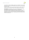

was beneficial for intestinal morphology, showed by the morphometric values presented, namely the CD and the VH:CD ratio, reflecting higher productive performance, particularly in S1 group (data not shown).

In conclusion, the lower dosages of savory inclusion improved the intestinal morphometric parameters, being the worst results obtained from higher supplementary doses of savory.

**Acknowledgments:** Acknowledgments: Thanks are due to the Polytechnic Institute of Viseu and to FCT/MEC for the financial support to the research units LAQV-REQUIMTE (UIDB/50006/2020), CITAB (FCT UIDB/04033/2020), CECAV and CERNAS-IPV, through national funds, and the co-funding by the FEDER, within the PT2020 Partnership Agreement and Compete 2020. The authors thank the financial support of the Waste2Value project (PDR2020- 101-031828, Partnership n. 94 / Initiative n. 189) through national funds and FEDER, within the PT2020 Partnership Agreement.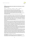

## P05 **[<](#page-11-4)**

### **CARDOON FEED SUPPLEMENTATION IN RABBITS: REFLECTIONS ABOUT A PUTATIVE IMMUNITARY EFFECT**

Oliveira, J.<sup>1,2,3</sup>, Teixeira-Lemos, E.<sup>1,2</sup>, Barracosa, P.<sup>1,3</sup>, Coelho, C.<sup>1,3,4</sup>, Wessel, D.<sup>1,3,5</sup>

<sup>1</sup> Agrarian School of Viseu, Polytechnic Institute of Viseu, Viseu, Portugal <sup>2</sup> Centre for Natural Resources, Environment and Society (CERNAS-IPV Research Centre), Polytechnic Institute of Viseu, Polytechnic Campus, Repeses, Viseu, Portugal <sup>3</sup> Centre for the Research and Technology of Agro-Environmental and Biological Sciences (CITAB), University of Trás-os-Montes e Alto Douro (UTAD), Vila Real, Portugal <sup>4</sup>Veterinary and Animal Research Centre (CECAV), University of Trás-os-Montes e Alto Douro (UTAD), Vila Real, Portugal

<sup>5</sup>LAQV-REQUIMTE, Department of Chemistry, University of Aveiro, Aveiro, Portugal

The inclusion of the by-products of cardoon in animal diets produced in the region of the plantation is an alternative feeding strategy that could enhance the sustainability of animal production while reducing the environmental burden and the economic cost associated with the disposal of these by-products. Moreover, the use of cardoon might allow the production of healthier animal. Rabbit animal models have been used in research studies not only to the mechanistic studies of human diseases but also to the development of therapeutic compounds, devices, or techniques for therapeutics.

The present study intended to hypothesize about putative effects in immunity of rabbits feed with cardoon.

Twenty male rabbits of the *Hyplus* strain, individually housed, were randomly distributed into two groups of 10 animals. One group with ad libitum fattening feedstuff (Control) and the other with the same food strategy plus 250 g of cardoon per day (Treatment). The study was conducted from weaning until 76 days of age. The rabbits were monitored for feed behavior. At the end of the experiment, 3 animals per group were slaughtered. Blood samples were taken for analysis and spleens were weighted. To evaluate the influence of cardoon intake on hematological parameters and spleen weight we performed the independent samples t-test with SPSS v26 and a significance level of 0.05 was considered.

The rabbits feed with cardoon diet presented a heavier spleen (0.61±0.03 g/Kg body weight (BW) vs 0.46±0.05 Kg/Kg BW; p <0.01), and higher (but not significant) levels of total white blood cells, monocytes, and granulocytes (cells/L). The number of red blood cells and haemoglobin was also augmented but with a lower mean corpuscular volume (p>0.05).

Considering the importance of the spleen in cellular immunity and humoral immunity, as well as in hemodynamic activities and even though no histological study was performed, the fact that in rabbits feed with cardoon spleen was heavier than their control group suggests more ability of cardoon to increase immunity as well as to ameliorate the production of red blood cells.

This preliminary study inspires to a reflection of the effects of cardoon ingestion on immunity. Nevertheless, more robust studies should be performed to consolidate these putative effects of cardoon on rabbits' immunity and to find out if this animal model is a suitable candidate to study the effect of cardoon consumption on human health.

**Acknowledgments:** Acknowledgments: Thanks are due to the Polytechnic Institute of Viseu and to FCT/MEC for the financial support to the research units LAQV-REQUIMTE (UIDB/50006/2020), CITAB (FCT UIDB/04033/2020), CECAV and CERNAS-IPV, through national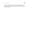

funds, and the co-funding by the FEDER, within the PT2020 Partnership Agreement and Compete 2020. The authors thank the financial support of the Waste2Value project (PDR2020- 101-031828, Partnership n. 94 / Initiative n. 189) through national funds and FEDER, within the PT2020 Partnership Agreement.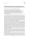

## P06 **[<](#page-11-5)**

### **SAVORY (***SATUREJA MONTANA***) BY-PRODUCT SUPPLEMENTATION IN BROILERS: EFFECT IN INTESTINAL** *ESCHERICHIA COLI* **AND ENTEROBACTERIACEAE POPULATIONS**

Oliveira, J.<sup>1,2,3</sup>, Pinto, A.<sup>1,2</sup>, Coelho, C.<sup>1,3,4</sup>, Perdigão, A.<sup>1,2,3</sup>, Wessel, D.<sup>1,3,5</sup>

<sup>1</sup> Agrarian School of Viseu, Polytechnic Institute of Viseu, Viseu, Portugal <sup>2</sup> Centre for Natural Resources, Environment and Society (CERNAS-IPV Research Centre), Polytechnic Institute of Viseu, Polytechnic Campus, Repeses, Viseu, Portugal <sup>3</sup> Centre for the Research and Technology of Agro-Environmental and Biological Sciences (CITAB), University of Trás-os-Montes e Alto Douro (UTAD), Vila Real, Portugal <sup>4</sup>Veterinary and Animal Research Centre (CECAV), University of Trás-os-Montes e Alto Douro (UTAD), Vila Real, Portugal

<sup>5</sup>LAQV-REQUIMTE, Department of Chemistry, University of Aveiro, Aveiro, Portugal

The valorization of agricultural and food industry by-products has been in the focus of investigation worldwide. Winter savory (*Satureja montana*) is an aromatic and medicinal plant also used as a spicy. Its extract is a good source of carvacrol and thymol, two compounds with several health benefits documented as anti-inflammatory, antioxidant, antimicrobial and antifungal (Movahhedkhah *et al.*, 2019). With the limitation of antibiotics use in animal production, plant-based products have gained interest as an alternative (Michiels *et al.*, 2010). Using this by-product in the raw physical form (only grinded) allows the protection of the cellular contents at the lower gut, allowing a greater potential use by bacteria. However, the mode of action of savory on the intestinal microbiota is not fully understood.

This study aims to investigate the effects of *Satureja montana* by-product powder supplementation on gut *Escherichia coli* and Enterobacteriaceae populations of broiler chickens. One hundred and ninety‐two Ross 308 one-day old chicks were randomly assigned to four dietary treatments containing three replicates of 12 birds each. All animals were fed *ad libitum* with commercial feedstuffs. The treatments consist in a control group [C] and three groups supplemented with three different amount of winter savory by-product powder (10 [S1], 20 [S2] and 40 [S4] g/kg, respectively). At the end of the trial (35 days) 8 animals of each treatment were slaughtered. Four aseptic samples of intestinal content were collected by each treatment (mixture from two animals per pen) and frozen in sterile vials at -18 ºC. *Escherichia coli* and Enterobacteriaceae populations were evaluated according to the ISO: 166492-2/2001 and ISO: 21528-2/2004 standards, respectively. The results were expressed in Log CFU/ml (Logarithm of colony forming units per milliliter).

The results of this trial show a trend of decrease in both populations of bacteria between the treatment groups and the control groups (p>0.05) The essential oil of *Satureja montana* byproduct has already shown good results in growth inhibition of *Echerichia coli* when evaluated *in vitro* for its antimicrobial activity (Santos *et al.*, 2019). Several studies indicate that carvacrol and thymol have bactericidal effects to pathogenic microorganisms, in particular to *Escherichia coli* (Chouhan *et al.*, 2017)*.*

S1 was the treatment with the lowest number of colonies formed in both populations therefore, the amount of 10 mg of winter savory by-product powder was the most effective. These results were similar with those reported by Mozafari *et al.* (2018) for *E. coli*. The reduction of Enterobacteriaceae population and consequently *E. coli* population, might have been a result of the increase of commensal bacterial population, that play a protective role in gut structure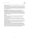

integrity and are the first line of defense against pathogenic bacteria as *E. coli*, avoiding the occurrence of dysbiosis.

Nevertheless, this study shows, at least, that the introduction of a new food supplement in the diet did not cause a deregulation or significant decrease in the intestinal microbiome of chickens. Thus, we understand as safe the use of savory by-product as supplementation in broiler chickens feed, indicating the dose of 10 g/Kg, with the most appropriate, regarding the size of the intestinal microbiome effects.

**Acknowledgments:** Acknowledgments: Thanks are due to the Polytechnic Institute of Viseu and to FCT/MEC for the financial support to the research units LAQV-REQUIMTE (UIDB/50006/2020), CITAB (FCT UIDB/04033/2020), CECAV and CERNAS-IPV, through national funds, and the co-funding by the FEDER, within the PT2020 Partnership Agreement and Compete 2020. The authors thank the financial support of the Waste2Value project (PDR2020- 101-031828, Partnership n. 94 / Initiative n. 189) through national funds and FEDER, within the PT2020 Partnership Agreement.

#### **References:**

[1] Chouhan S., Sharma K., Guleria S. (2017). Antimicrobial Activity of Some Essential Oils-Present Status and Future Perspectives. Medicines (Basel, Switzerland), 4(3): 58. DOI: 10.3390/medicines4030058

[2] Movahhedkhah S., Rasouli B., Seidavi A., Mazzei D., Laudadio V., Tufarelli V. (2019). Summer Savory (*Satureja hortensis* L.) extract as Natural Feed Additive in Broilers: Effects on Growth, Plasma Constituents, Immune Response, and Ileal Microflora. *Animals* 9(3): 87. DOI: 10.3390/ani9030087.

[3] Michiels J., Missotten J., Van Hoorick A., Ovyn A., Fremaut D., De Smet S., Dierick N. (2010). Effects of dose and formulation of carvacrol and thymol on bacteria and some functional traits of the gut in piglets after weaning. Archives of Animal Nutrition, 64(2): 136-154. DOI: 10.1080/17450390903499915.

[4] Mozafari S., Seidavi A., Gharahveysi S., Kadim I. (2018). Savory (*Satureja hortensis* L.) powder and extract effects on broiler chicken ileal *Escherichia coli* and Lactobacillus bacteria. Journal of Applied Animal Research. 46(1): 639-642. DOI: 10.1080/09712119.2017.1377079. [5] Santos J.D.C., Coelho E., Silva R., Passos C.P., Teixeira P., Henriques I., Coimbra M.A. (2019). Chemical composition and antimicrobial activity of *Satureja montana* byproducts essential oils. Industrial Crops and Products, 137: 541-548. DOI: 10.1016/j.indcrop.2019.05.058.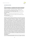

## **SUSTAINABLE MATERIAL**

P07 **[<](#page-11-6)**

#### **COULD BE ARTHROSPIRA SP. A SUSTAINABLE SOURCE OF BIOACTIVE COMPOUNDS? EVIDENCE OF ANTIOXIDANT, ANTIGENOTOXIC AND CYTOPROTECTIVE PROPERTIES**

Vera Castro<sup>1,2</sup>; Ana Teixeira<sup>1,2,\*</sup>; Celina Parreira<sup>3</sup>; Rui Oliveira<sup>1,2,4</sup>; Alberto C.P. Dias<sup>1,2,4</sup>

<sup>1</sup>Centre for the Research and Technology of Agro-Environmental and Biological Sciences, CITAB, University of Minho, Campus de Gualtar, Braga, Portugal;

<sup>2</sup>Centre of Molecular and Environmental Biology, CBMA, Campus de Gualtar, University of Minho, Braga, Portugal;

 $3$ A4F-Algafuel, S.A., Estrada do Paço do Lumiar Campus do Lumiar, Ed. E – R/C, Lisboa, Portugal;

<sup>4</sup>Centre of Biological Engineering, Department of Biology, University of Minho, Campus de Gualtar, Braga, Portugal;

\* Email: anaspereirateixeira@gmail.com

Microalgae are a potential renewable and sustainable source of active molecules such as lipids, pigments, polysaccharides, among others [1]. Several species are cultivated at an industrial scale to produce valuable secondary metabolites for aquaculture, bio-fuel and biotechnology industries, like environment, food, cosmetic, nutraceutical, and pharmaceutical [2]. Nevertheless, it is a poorly-explored resource for drug discovery. Accordingly, the main goal of this study was show that microalgae are a source of bioactive compounds that can be used to discover and develop new drugs. To achieve that the antioxidant potential of hexane and methanolic extracts of Arthrospira sp. was evaluated, as well as the anti-genotoxic, cytotoxic and cytoprotective effects of these extracts. Results show that Arthrospira sp. acts as free radical scavenger of DPPH and superoxide radical, being hexane extracts the most promising, 68.4% and 38.3%, respectively. Moreover, hexane extracts revealed the best ability for iron chelation (22%). On the contrary, methanol extracts revealed the highest FRAP values (122 eq Fe2+  $\mu$ M). Cell viability assay was performed using 25 mM H2O2 as the genotoxic agent in Sch. pombe. In the presence of H2O2, 750 µg/mL of hexane extract protected cells against oxidative damage, increasing cell viability by 56%, compared to the positive control (only H2O2). Hexane and methanolic extracts did not show cytotoxic effects in HepG2 cell line up to 500 µg/mL at 4 and 24 hours of incubation period, except for methanol extract that decreased cell viability at the highest concentration tested. Moreover, hexane extracts significantly increased cell viability of HepG2 cells when co-incubated (4 hours) with the oxidant agent t-BHP, revealing cytoprotective effects. Overall, our results indicate that Arthrospira sp. extracts reveals antioxidant properties. Additionally, hexane extracts seemed to show antigenotoxic potential, and cytoprotective properties, without cytotoxicity, being the most promising. This work highlights the Arthrospira sp. biomass as a sustainable and renewable source of bioactive compounds, which could create a larger impact on the future, contributing to a blue and green economy. Additionally, our findings support the introduction of these extracts in the food/feed, nutraceutical, cosmetic and pharmaceutical industries.

#### **Acknowledgments**

The authors acknowledge the financial support provided by the FCT-Portuguese Foundation for Science and Technology (PD/BD/150264/2019), under the Doctoral Programme "Agricultural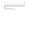

Production Chains – from fork to farm" (PD/00122/2012), and the Financiamento Plurianual de Unidades de I&D UIDB/04050/2020. This work was also supported by project "EXTRATOTECA - Extratos de microalgas com elevado valor acrescentado" co-financed by FEDER under COMPETE 2020.

#### **References**

- [1] DOI: 10.1016/j.biortech.2007.05.040
- [2] DOI: https://doi.org/10.3389/fmars.2016.00068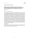

#### **WASTE MITIGATION SOLUTIONS**

#### P08 **[<](#page-12-0)**

### **RESOURCE EFFICIENCY OPTIMISATION OF SECOND CLASS VEGETABLES VIA BIOREFINERY SOLUTIONS TO IMPROVE SUSTAINABILITY IN THE AGRIFOOD CHAIN AND CLIMATE CHANGE RESILIENCE: THE EUROPEAN PROJECT "DEMETER"**

Carine Le Bourvellec<sup>1,\*</sup>

1 INRAE

\* Email: carine.le-bourvellec@inrae.fr

The overall objective of the European FACCE SURPLUS DEMETER project is to establish a more resilient vegetable supply chain by creating a secure and long-lasting sustainable relationship between the vegetable grower (agriculture, no greenhousing) and its customers in the first step of the agrifood chain. The specific objective of the project is to increase resource efficiency through valorisation of currently not valorised side streams via production of soups, juices and functional ingredients. The expected impacts of the DEMETER project are by valorisation of residues, second and third class vegetables, damaged vegetables, off cuts and peelings to reduce land, water, pesticides and fertilizers consumption and also food contamination. The DEMETER project will run for 2 years, with activities distributed along five work packages. WP1 will provide an overview on the state of the art on the available residues and waste streams to give the potential of agricultural residues, residues from primary processes and pomaces from juice production. In WP2, the characterisation of the different raw materials will be done to define necessary pre-treatments and processing steps. The residues as new materials will be processed and characterised in WP3. In order to calculate the financial viability and the environmental impact of the processing of soup, juice and functional ingredients, WP4 will carry out an economic and environmental assessment on each process. WP5 deals with the project management and dissemination activities.

#### **Acknowledgments**

DEMETER is a FACCE SURPLUS European project and is financially supported by VLAIO and ANR. FACCE SURPLUS has received funding from the European Union's Horizon 2020 research and innovation programme under grant agreement No 652615.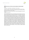

#### P09 **[<](#page-12-1)**

### **AGRO-FOOD WASTE AS POTENTIAL NATURAL HERBICIDES IN SPRING-SUMMER CROPS**

Sara Barbosa<sup>1,\*</sup>; Cristina Galhano<sup>1,2</sup>; Rosa Guilherme<sup>1,3</sup>; Paula Lorenzo<sup>2,\*</sup>

<sup>1</sup>Polytechnic of Coimbra, Coimbra Agriculture School, Bencanta, 3045-601 Coimbra, Portugal

<sup>2</sup>University of Coimbra, Centre for Functional Ecology (CFE)–Science for People & the Planet, Department of Life Sciences, Coimbra, Portugal

<sup>3</sup>Direção Regional de Agricultura e Pescas do Centro, Avenida Fernão Magalhães, 465, Coimbra, Portugal

\* Email: paulalorenzo@uc.pt

Weeds are among the main enemies of crops significantly compromising yield. For this reason, synthetic chemical herbicides are generally used, although the known negative impacts they cause on the environment and on the human health. Thus, it is imperative to find potential alternative herbicides, sustainable and harmless to humans. It is also urgent to promote the Circular Economy, discovering new uses for waste, valuing them. Thus, the main objective of this research was to know the herbicidal potential of agro-food waste, spent coffee grounds (SCG), on weeds of spring-summer crops (lettuce and radish), produced under an Organic Farming system. For this, a field trial was carried out. SCG was incorporated into the soil of plots at a dose of 9 Mg ha-1. Soil without agro-food waste was considered as control. Both treatments were replicated four times. Seedlings of lettuce and radish were immediately planted in intermixed rows in plots after the incorporation of SCG. Two months after the field trial establishment, the following data were collected: the normalized difference vegetation index (NDVI) of plot vegetation; dry weed aboveground biomass identified as monocotyledons, dicotyledons, Cyperus spp., and total; and dry crop biomass identified as leaf, root and total). Results, properly statistically analyzed, showed that the incorporation of spent coffee grounds into the soil decreased the biomass of weeds, and promoted crops' development. Based on these results, spent coffee grounds could be considered as a potential alternative to synthetic chemical herbicides. Moreover, the growth stimulation of crops may indicate an additional fertilizing effect of the studied waste.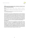

### P10 **[<](#page-12-2)**

#### **EGGSHELLS AND POTATO WASHING SLURRIES AS RENEWABLE LIGHTWEIGHT FILLERS FOR POLYSTYRENE-BASED MATERIALS**

Martins C.<sup>1,\*</sup>; Vallejo M.<sup>1</sup>; Brites P.<sup>1</sup>; Santos J.<sup>1</sup>; Nunes C.<sup>2</sup>, Coimbra, M. A.<sup>2</sup>, Ferreira, P.<sup>1</sup>; Gonçalves, I.<sup>1</sup>

<sup>1</sup>CICECO, Department of Materials and Ceramic Engineering, University of Aveiro, Aveiro, Portugal

2 LAQV-REQUIMTE, Department of Chemistry, University of Aveiro, Aveiro, Portugal

\* Email: carolinasousamartins@ua.pt

Agrifood byproducts are rich sources of valuable biomolecules that, during their disposal, are simply wasted, thus requiring strategies to efficiently be valorised. In this work, the feasibility of using calcium carbonate (CaCO3) recovered from eggshells (ES) and starch from potato washing slurries, two byproducts derived from egg and potato processing industries, was studied as renewable lightweight fillers for polystyrene (PS)-based plastics. ES-CaCO3 presented lower density (-2%) than commercial CaCO3 and when combined with starch, its density decreased in 12%. ES-CaCO3/starch-based fillers were successfully incorporated into PS-based plastics, conferring a yellowish coloration to the PS/commercial CaCO3-based plastics and decreasing in 6% their density and in 77% their rigidity. Therefore, eggshells and potato washing slurries revealed to be suitable sources of molecules for developing renewable lightweight fillers for plastics, giving an opportunity to reuse and valorise egg and potato agrifood byproducts.

#### **Acknowledgements**

Thanks are due to University of Aveiro and FCT/MCTES for the financial support of CICECO-Aveiro Institute of Materials (FCT ref. UIDB/50011/2020 & UIDP/50011/2020) and LAQV-REQUIMTE research Unit (FCT ref. UIDB/50006/2020) through national funds. The authors acknowledge to PLASTICOLIGHT project (POCI-01-0247-FEDER-33848), financed by FEDER through POCI, to Isolago – Indústria de Plásticos, S. A., the project leader; to Derovo group, for providing eggshells; and to A Saloinha, for supplying potato washing slurries. FCT is also thanked for the Investigator FCT program (PF, IF/00300/2015), Scientific Employment Stimulus program (IG, CEECIND/00430/2017), PhD grant SFRH/BD/145660/2019 (JDCS), and by national funds (OE) in the scope of the framework contract foreseen in the numbers 4, 5, and 6 of the article 23, of the Decree-Law 57/2016, of August 29, changed by Law 57/2017, of July 19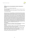

## P11 **[<](#page-12-3)**

### **VEGETATIVE PARTS OF HOP AND BREWERIES BY-PRODUCTS: FROM WASTE TO COSMETIC**

Olívia R. Pereira<sup>1,\*</sup>; Maria João Sousa<sup>1</sup>; Gleiciara Santos<sup>2</sup>

<sup>1</sup>Centro de Investigação de Montanha (CIMO), Instituto Politécnico de Bragança, Campus de Santa Apolónia, Bragança.

<sup>2</sup>School of Health Science, Polytechnic Institute of Bragança, Av. D. Afonso V, Bragança, Portugal.

\* Email: oliviapereira @ipb.pt

Hop (*Humulus lupulus* L.) is known worldwide as a raw material in beer production due its flavour and preservative values. The beneficial properties of the plant have been mostly associated to the female hop inflorescences (hops) which is also the part used in the brewing industry remaining the hop leaves, stalks, and smaller calibre flowers as an agricultural by-product and currently discarded as waste. Hop leaves are rich in flavanol glycosides (quercetin and kaempferol derivatives) (1). On the other hand, millions of tons of residues are produced in brewing process in which large quantities of by-products main in forms of spent grains and spent hops/ hot trub are produced, raising environmental and economic sustainability concerns (2). Herbal products have been used has ingredients for cosmetic formulations. Hop extracts has been used for skin aliments in loose skin, stretch marks, and sagging, preventing skin ageing (3). As the discarded parts of hop plants, and also the hop residues of brewing process are rich in different compounds it could be proposed as source of ingredients for cosmetic industry. In addition to that, the recovered of high-value bioactive compounds from the by-products or nonused parts of H. lupulus L. in brewing industry, has been a strategy emphasized by recent literature in order to solve this ecological and economical issue (2).

#### **Acknowledgments**

The authors are grateful to the Foundation for Science and Technology (FCT, Portugal) for financial support by national funds FCT/MCTES to CIMO (UIDB/00690/2020).

#### **References**

[1] McCallum J.L., Nabuurs M.H., Gallant S.T., Kirby C.W., Mills A.A.S. (2019). Phytochemical Characterization of Wild Hops (Humulus lupulus ssp. lupuloides) Germplasm Resources From the Maritimes Region of Canada. Front Plant Sci. 10(December).

[2] Fărcaş A.C., Socaci S.A., Mudura E., Dulf F.V., Vodnar D.C., Tofană M., Salanță L.C. (2017). Exploitation of Brewing Industry Wastes to Produce Functional Ingredients. In: Kanauchi M. Brewing Technology. https://www.intechopen.com/chapters/55749.

[3] Ivana B., Viktor L., Milanka L., Jelena M., Dusan S. (2013). Skin Ageing: Natural Weapons and Strategies. Evidence-Based Complement Altern Med.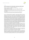

## P12 **[<](#page-12-4)**

#### **MATRIX OF BIOWASTE IN THE CENTER REGION. WASTE2VALUE SURVEY RESULTS**

Costa, C.A.<sup>1,2</sup>, Ferreira, A.C.<sup>1</sup>, Nogueira, M.J.<sup>3</sup>, Wessel, D.<sup>1,4,5</sup>

<sup>1</sup> Polytechnic Institute of Viseu, Agrarian School, Quinta da Alagoa - Estrada de Nelas, Ranhados, 3500-606 Viseu, Portugal.

<sup>2</sup> CERNAS Research Centre, Polytechnic Institute of Viseu, 3504-510 Viseu, Portugal.

<sup>3</sup>Associação de Desenvolvimento Dão Lafões e Alto Paiva, Rua dos Loureiros, 16 R/C. 3500-148 Viseu, Portugal.

4 LAQV-REQUIMTE, Department of Chemistry, University of Aveiro, 3810-193 Aveiro.

<sup>5</sup> CITAB, University of Trás-os-Montes e Alto Douro, 5001-801 Vila Real, Portugal.

The use of biowaste resulting from agricultural or agro-industry production, through its recovery, reuse, valorization, can help reduce the impacts generated by the sector, create alternatives to the use of scarce natural resources and, simultaneously, new products and activities with economic interest in various sectors, from food and feed, health, new materials for packaging, among many others. The term "biowaste" is used in this work with the meaning of by-product from agricultural and agro-industry activities. One of the biggest constraints to this use is related to the multiplicity of different by-products of agricultural and agro-industry activity, their dispersion in the territory, their seasonality and perishability. In this sense, the Waste2Value Operational Group, whose vision is the mitigation of agricultural and agro-industry by-products through recovery and reuse of these materials in innovative applications associated with public health concerns and use of environmentally sustainable practices, conducted a survey by questionnaire on the type, quantities and disposal of agricultural and agro-industry by-products in the Central Region of Portugal, including the specific interest in this theme, among relevant sectors and stakeholders, implemented in 2018/2019.

Sixty questionnaires were applied to companies in the Central Region of Portugal, in various agricultural and agro-industrial sectors (horticulture, olive growing, viticulture, arable crops, aromatic and medicinal crops, honey and other hive products, liqueurs and jams, meat, milk and derivatives). The surveyed companies were of small and medium size (between 1 and 60 workers), presenting several types of by-products that in some sectors are distributed throughout the year (e.g. horticulture, smoking, mushrooms), while in others are concentrated in specific periods (e.g. wine, olive oil, cereals).

As for the destination of the by-products, the largest use is related to the use in animal feed, free delivery or sale and composting. Incineration, delivery to landfill or for treatment, and distillation are also some of the destinations of the by-products identified.

About 40% of the surveyed companies are interested in investing in the recovery and valorization of by-products, and the main constraints to investment in these processes are related to the associated costs, legal issues associated with their use, available quantity and satisfaction with the destination currently given to them. Over 65% of companies are interested or very interested in participating and learning from the results of the Waste2Value project.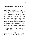

## P13 **[<](#page-12-5)**

### **INTEGRATED VALORIZATION OF PINUS PINEA BY-PRODUCTS IN ADDED-VALUE APPLICATIONS**

Élia Fogeiro<sup>1,\*</sup>, Cláudia M B Neves<sup>2</sup>, Susana M. Cardoso<sup>1</sup>, Dulcineia Ferreira Wessel<sup>1,2,3</sup>

<sup>1</sup> LAQV-REQUIMTE, Department of Chemistry, University of Aveiro, 3810-193 Aveiro, Portugal

<sup>2</sup> Polytechnic Institute of Viseu, Agrarian School of Viseu, 3500-606 Viseu, Portugal

<sup>3</sup> CITAB, University of Trás-os-Montes e Alto Douro, 5001-801 Vila Real, Portugal

*Pinus pinea* L. is a coniferous tree native from the Mediterranean basin, with a scattered distribution from Portugal to Syria. Pine nut seeds are the primary product obtained from this crop, followed by timber and, to a lesser extent, resin, cones, nut shells and bark, used essentially to produce energy. In Portugal, the stone pine gained renewed importance over the last decades, with an 61% growth in forest area from 1995 to 2015, accounting for a total of 193000 ha. However, bark and resin collection are practices with progressively less relevance and the revenues from timber production have recently dropped. Furthermore, the yield of cone production is affected by cone pests and climatic inconstancy, leading to large variability in pine nut yield. Thus, the identification of opportunities for an integrated management of stone pine forests is of major importance, being in line with concerns regarding *P. pinea* forests sustainability.

Stone pine by-products are lignocellulosic materials (except for resin) composed of cellulose, hemicellulose, and lignin, with extractives with bioactive properties. These agroforestry byproducts are rich in compounds of interest, namely terpenic and phenolic compounds, and sterols. Pine bark is an interesting source of polyphenols, once it contains a considerable amount of tannins and low content of polysaccharides and lignin1. Pine cones, needles and resin are obtained in considerable amounts from Stone pine forests (IFN6) and their essential oils are rich in monoterpenes, particularly limonene, α-pinene, and β-phellandrene2. Concerning the nut shells, although an average of 4128 tons are obtained per year in Portugal, studies concerning its valorization are scarce. Nonetheless, recent data suggests a richness of bioactive compounds that may favour the utilization of this by-product in added-value applications 3.

*Pinus pinea* by-products are currently under-valued. Their richness in bioactive compounds, together with the growing interest of the industry in the use of natural products, makes them promising materials to be used in a wide range of industrial sectors.

#### **Acknowledgments**

Thanks are due to the Polytechnic Institute of Viseu and to FCT/MEC for the financial support to LAQV-REQUIMTE (UIDB/50006/2020) and CITAB (FCT UID/AGR/04033/2019) research units, through national funds, and the co-funding by the FEDER, within the PT2020 Partnership Agreement and Compete 2020. SMC acknowledges the research contract through the project Algaphlor (PTDC/BAA-AGR/31015/2017). Élia Fogeiro acknowledges FCT for the PhD grant SFRH/BD/08009/2021

#### **References**

[1] Miranda I., Mirra I., Gominho J., Pereira H. (2017). 19, 185-194.

[2] Macchioni F., Cioni P.L., Flamini G., Morell, I., Maccioni S., Ansaldi M. (2003) 18 (2), 139- 143.

[3] Queirós C.S.G.P., Cardoso S., Lourenço A., Ferreira J., Miranda I., Lourenço M.J. V., Pereira H. (2020). 10 (1), 175-188.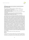

## P14 **[<](#page-12-6)**

### **FOCUS GROUPS TO ASSESS AGRI-FOOD BIOWASTE VALORIZATION PERCEPTION AMONG STAKEHOLDERS**

Neto, J<sup>1</sup>.; Ferreira, A. C.<sup>2</sup> Nogueira, M.<sup>3</sup>; Wessel, D.<sup>2,4,5</sup>; Parente C.<sup>6</sup>; Costa C.A.<sup>2,7</sup>

- 1 Faculdade de Ciências da Universidade do Porto. GreenUPorto Sustainable Agrifood Production Research Center, Vairão, Portugal.
- <sup>2</sup> Polytechnic Institute of Viseu, Agrarian School, Quinta da Alagoa Estrada de Nelas, Ranhados, 3500-606 Viseu, Portugal.
- <sup>3</sup>Associação de Desenvolvimento Dão Lafões e Alto Paiva, Rua dos Loureiros, 16 R/C. 3500-148 Viseu, Portugal.
- <sup>4</sup> CITAB, University of Trás-os-Montes e Alto Douro, 5001-801 Vila Real, Portugal.
- <sup>5</sup> LAQV-REQUIMTE, Department of Chemistry, University of Aveiro, 3810-193 Aveiro.

6 Instituto de Sociologia, Universidade do Porto, Portugal.

<sup>7</sup> CERNAS Research Centre, Polytechnic Institute of Viseu, 3504-510 Viseu, Portugal.

The Waste2Value project is a joint strategy that brings together a wide range of partners from public institutions, universities, and companies, that aim to find solutions for biowaste recovery. The term "biowaste" is used in this work with the meaning of by-product from agricultural and agro-food industry activities. The application of a Focus Groups dynamic (FG) (as a collective interview) $[1]$  intended identify agricultural and agroindustry by-products, and animal effluents, and potential users of its by-products, in the Portugal Center Region to understand: (i) the potential generators of agricultural and agroindustry by-products, their nature and destination; (ii) the perception of processed by-products by potential users (namely for livestock), the advantages and constraints of their adoption. It was also inferred the participants' degree of knowledge about biowaste management, and their willingness to collaborate as suppliers/users of biowasted-based raw materials, creating synergies to large-scale biowaste integration in the circular economy. Although biowaste valorization is not the core business of most biowasteproducing companies', it is a problem in the agro-industrial sector. From the managers' perspective, biowaste valorization poses a valid solution, whether through enhancement of composting practices, the production of new organic fertilizers, or the application of new solutions for transforming biowaste into valuable by-products. From the potential users' perspective compounds produced from organic by-products raise a set of concerns at the regulatory level, food safety, by-product homogeneity and availability, and profitability of enriched feeds. Thus, the strategy defined for the by-products treatment and incorporation (as additives/raw materials) determines how they may integrate the production systems. Even so, the historical importance of by-products for the animal industry is unanimous, and alternatives are urgently needed to allow producers to move through the demedicalization imposed by the  $EU^{[2]}$ . Public agencies are pointed as key elements in the promotion of biowaste valorization acting as facilitators.

**Keywords:** by-products; biowaste; circular economy; collective interview.

#### **References:**

[1] Morgan D. (1997). Focus groups as qualitative research, *Thousand Oaks, Sage Publications*. [

[2] Authority, E.F.S., E.M.A. (2021). Third joint inter-agency report on integrated analysis of consumption of antimicrobial agents and occurrence of antimicrobial resistance in bacteria from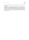

humans and food-producing animals in the EU*. EFSA journal. European Food Safety Authority, 19(6),* e06712*.*

**Acknowledgments**: Thanks are due to the Polytechnic Institute of Viseu and to FCT/MEC for the financial support to LAQV-REQUIMTE (UIDB/50006/2020), CITAB (FCT UIDB/04033/2020) and CERNAS Research Center (UIDB/00681/2020) research units, through national funds, and the co-funding by the FEDER, within the PT2020 Partnership Agreement and Compete 2020. The authors thank the financial support of the Waste2Value project (PDR2020-101-031828, Partnership n. 94 / Initiative n. 189) through national funds and FEDER, within the PT2020 Partnership Agreement.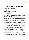

## P15 **[<](#page-13-0)**

## **CATEGORIZATION OF FARM BY-PRODUCTS THROUGH PRELIMINARY RECOGNITION OF THEIR BIOACTIVE POTENTIAL**

Manuel Brito <sup>1,2</sup>; Ana Ferreira <sup>1</sup>; Dulcineia F. Wessel <sup>1,3,4</sup>

 $1$  Polytechnic Institute of Viseu, School of Agriculture, Quinta da Alagoa – Estrada de Nelas, Ranhados 3500-606 Viseu, Portugal

 $<sup>2</sup>$  CI&DETS, Polytechnic Institute of Viseu, Av. Cor. José Maria Vale de Andrade, Campus</sup> Politécnico, 3504-510 Viseu, Portugal

<sup>3</sup> CITAB, University of Trás-os-Montes e Alto Douro, 5001-801 Vila Real Portugal

<sup>4</sup> QOPNA & LAQV-REQUIMTE, Department of Chemistry, University of Aveiro, 3810-193 Aveiro, Portugal

Email: ferdulcineia@esav.ipv.pt

Annually one third of all the food produced is wasted leading to costs and negative environmental impact [1]. To mitigate these problems, some alternative uses are emerging, such as the recovery of phytochemical compounds with beneficial properties and the bioproduction of new added value products [2]. Phenolic compounds can be recovered from food by-products and were shown to possess antimicrobial and antioxidant capacities, being natural alternatives to food preservatives and helping reduce the risk of some chronic diseases [3].

Fourty-two agri-food by-products, distributed by 3 groups with equal number of samples: leafs (resulting from the vegetable "cleaning" and sorting process), "fleshy" (dense and bulky byproducts), and aromatic herbs (leftovers resulting from sorting and cleaning ), were analyzed by four different assays. For each by-product, three extracts were accessed. The total phenolic content (TPC) was assessed using an adaptation from the Folin-Ciocalteu method [3]. Flavonoid content (FC) assay was evaluated according to Alothman et al [4]. Antioxidant activity was assessed using two different methods: the radical ABTS+• inhibition and the DPPH• free radical scavenging analysis [5,6].

The analysis of differences of each parameter was evaluated between the groups using the Kruskal-Wallis tests ( $\alpha$ =5%) and the agglomerative hierarchical clustering was used to group byproducts in clusters based on their similarity.

It is worth mentioning Laurus nobilis, that registered the highest values in all the analyzed parameters, and Mentha piperita, Origanum majorana and Origanum vulgare. The aromatic herbs group stood out with the highest mean, median, minimum and maximum in all the assays and was the one with the highest variability (SD). In terms of TPC, FC, ABTS+ $\bullet$  and DPPH $\bullet$ , there are statistically significant differences between the aromatic herbs and the remaining two groups (p<0.001). In the cluster analysis with the four parameters, the by-products were grouped into three clusters. From cluster analysis using only the TPC assay, four clusters were obtained, and the FC analysis suggested the establishment of three different clusters. For the antioxidant activity assays, the by-products were grouped into three cluster for the ABTS+• assay and two clusters for the DPPH• method.

Despite the antioxidant potential of aromatic herbs, leaf-based horticultural by-products could be an interesting source of added-value compounds. It was possible to assess that the grouping initially performed based on the agricultural characteristics of the by-products was different from the clusters obtained. It should be noted that only part of the aromatic herbs constituted their own cluster regardless of the parameters of TPC, FC and antioxidant activity evaluated in any of the analyzes performed.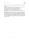

**Keywords:** by-product; phenolic compounds; antioxidant activity; valorization; circular economy

#### **References:**

[1] Carciochi, R., D'Alessandro, L et al., 2017, in Ingredients Extraction by Physicochemical Methods in Food, A. Grumezescu, A. Holban, Academic Press, chapter 4.

[2] Cruz, M., Bastos, R. et al., 2018, Journal of Cleaner Production, 193, 652-660

[3] Tohidi, B., Rahimmalek, M. et al., 2017, Food Chemistry, 220, 153-161

[4] Alothman, M., Bhat, R. et al., 2009, Food Chemistry, 115, 785-788

[5] Re, R. Pellegrini, N. et al., 1999, Free Radical Biology & Medicine, 26, 1231-1237

[6] Brand-Williams, W., Cuvelier, M.E., et al., 1995, LWT – Food Science & Technology, 28, 25-30

**Acknowledgements:** The authors would like to thank the company Vasco Pinto & Agostinho Sousa – Produtos Hortícolas e Ervas Aromáticas Lda for the supply of horticultural by-products and the financial support of the Waste2Value operational group PDR2020-1.0.1-FEADER-032314 under Compete 2020 operational program competitiveness and internationalization. Thanks are due to Polytechnic Institute of Viseu and FCT/MCT for the financial support for the CITAB research Unit (UIDB/04033/2020) and LAQV-REQUIMTE research Unit (UIDB/50006/2020) through national funds and, where applicable, co-financed by the FEDER, within the PT2020 Partnership Agreement.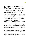

### P16 **[<](#page-13-1)**

## **DRYING OF BY-PRODUCTS FROM AGRICULTURAL PRODUCTION AND AGRI-FOOD INDUSTRY**

Carlos Pereira<sup>1,2</sup>; Alberto Castro<sup>1</sup>; Pedro Cardão<sup>1</sup>; Tânia Ferreira<sup>1</sup>; Ana Tavares<sup>1</sup>; Sérgio Lopes<sup>1</sup>; Dulcineia Wessel<sup>3,4,5</sup>

<sup>1</sup> Polytechnique Institute of Viseu, Technology and Management School, 3504-510 Viseu, Portugal

<sup>2</sup> CISeD Digital Services Research Center, Polytechnique Institute of Viseu, 3504-510 Viseu, Portugal

<sup>3</sup> LAQV-REQUIMTE, Department of Chemistry, University of Aveiro, 3810-193 Aveiro, Portugal

<sup>4</sup> Polytechnic Institute of Viseu, Agrarian School of Viseu, 3500-606 Viseu, Portugal

<sup>5</sup> CITAB, University of Trás-os-Montes e Alto Douro, 5001-801 Vila Real, Portugal

The agro-food industry generates huge amounts of by-products, from productive activity, to product processing and also in post-processing, namely food waste (FAO, 2012). One of the biggest causes of this waste are imperfections in weight or shape and the perishability of foods that make them unsuitable for commercialization.

These by-products are rich in various ingredients (fiber, bioactive compounds, mineralsalts, etc.) and show great potential for their integration in different industries, such as pharmaceuticals, for example. However, due to their generally high water content, they suffer from rapid perishability. Therefore, taking advantage of the opportunities available for the valorization of these by-products depends on the use of conservation techniques.

This work aimed to evaluate the use of dehydration by indirect solar drying, as a conservation technique, to enable the sustainable use of by-products.

The species studied were selected with partner companies and supplied by them: spinach, lettuce, kale, onion skin, thyme, anise and apple pomace. The initial moisture contents of each species were determined. In a climatic chamber, drying curves were obtained and the influence of temperature and relative humidity of the drying air on the final composition of the product was evaluated. Field tests were carried out with two types of solar dryers to validate their effectiveness, optimize the operating parameters and assess the energy cost of the process. The dryers were equipped with an electrical auxiliary air heating system. All samples of by-products tested were subjected to chemical characterization analysis before and after drying.

The results showed the natural importance of drying temperature and the structure and morphology of each species. The increase in temperature leads to a decrease in the time to complete the process and in the equilibrium moisture content. The increase in temperature also has a negative influence on the nutritional content, namely in terms of protein, antioxidant activity and sugars (Catorze et al. 2021).

Field tests revealed that the dryer designated as "Big Bag" was not suitable for most species of by-products, in particular due to low drying effectiveness. The dryer designated as "AVATAR" proved to be effective, and the use of auxiliary electric heating is recommended to compensate for the absence of sun and thus prevent product deterioration due to the concentration of humidity caused by the cooling of the air. The use of solar energy as the main source of energy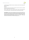

contributed to the sustainability of the process, reducing the need for electrical energy by 35% (Catorze et al. 2021).

#### **References**

FAO. (2012). Towards the Future We Want: End hunger and make the transition to sustainable agricultural and food systems. Rome, Italy: FAO.

Catorze C., Cardão P., Castro A., Silva E., Wessel D., Tavares A., Lopes S., Brás I. (2021). Study of a Solar Energy Drying System - Energy savings and effect in dried food quality. ICEE2021.

**Acknowledgments**: Thanks are due to the Polytechnic Institute of Viseu and to FCT/MEC for the financial support to LAQV-REQUIMTE (UIDB/50006/2020), CITAB (UIDB/04033/2020) and CISeD research units, through national funds, and the co-funding by the FEDER, within the PT2020 Partnership Agreement and Compete 2020. The authors thank the financial support of the Waste2Value project (PDR2020-101-031828, Partnership n. 94 / Initiative n. 189) through national funds and FEDER, within the PT2020 Partnership Agreement.